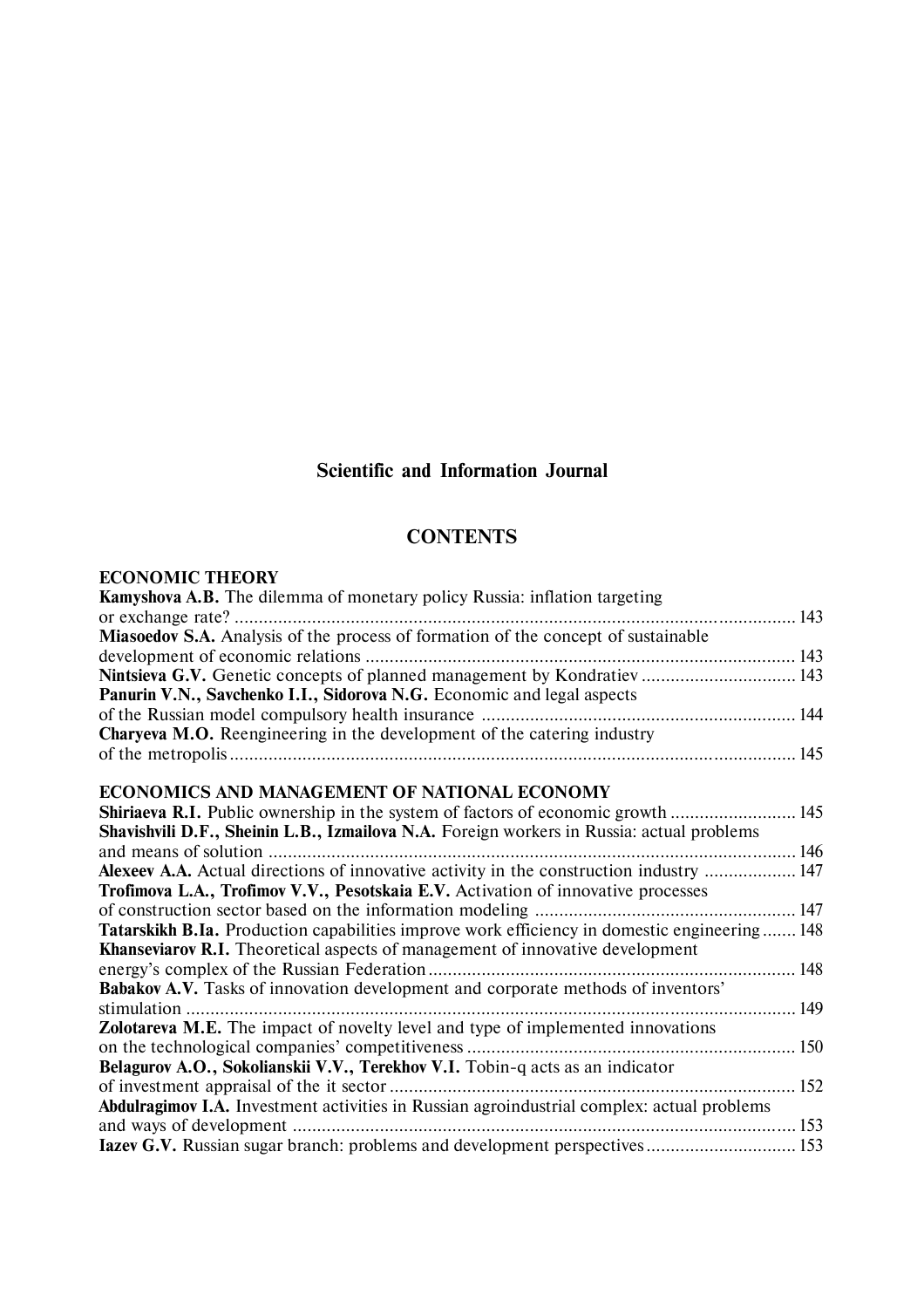## **Scientific and Information Journal**

## **CONTENTS**

## **ECONOMIC THEORY**

| <b>Kamyshova A.B.</b> The dilemma of monetary policy Russia: inflation targeting                    |  |
|-----------------------------------------------------------------------------------------------------|--|
| 143<br>or exchange rate?                                                                            |  |
| Miasoedov S.A. Analysis of the process of formation of the concept of sustainable                   |  |
|                                                                                                     |  |
| Nintsieva G.V. Genetic concepts of planned management by Kondratiev  143                            |  |
| Panurin V.N., Savchenko I.I., Sidorova N.G. Economic and legal aspects                              |  |
|                                                                                                     |  |
| <b>Charyeva M.O.</b> Reengineering in the development of the catering industry                      |  |
|                                                                                                     |  |
|                                                                                                     |  |
| <b>ECONOMICS AND MANAGEMENT OF NATIONAL ECONOMY</b>                                                 |  |
| Shiriaeva R.I. Public ownership in the system of factors of economic growth  145                    |  |
| Shavishvili D.F., Sheinin L.B., Izmailova N.A. Foreign workers in Russia: actual problems           |  |
| and means of solution                                                                               |  |
| Alexeev A.A. Actual directions of innovative activity in the construction industry  147             |  |
| Trofimova L.A., Trofimov V.V., Pesotskaia E.V. Activation of innovative processes                   |  |
|                                                                                                     |  |
| <b>Tatarskikh B.Ia.</b> Production capabilities improve work efficiency in domestic engineering 148 |  |
| <b>Khanseviarov R.I.</b> Theoretical aspects of management of innovative development                |  |
|                                                                                                     |  |
| Babakov A.V. Tasks of innovation development and corporate methods of inventors'                    |  |
|                                                                                                     |  |
| Zolotareva M.E. The impact of novelty level and type of implemented innovations                     |  |
|                                                                                                     |  |
| Belagurov A.O., Sokolianskii V.V., Terekhov V.I. Tobin-q acts as an indicator                       |  |
|                                                                                                     |  |
| Abdulragimov I.A. Investment activities in Russian agroindustrial complex: actual problems          |  |
|                                                                                                     |  |
| Iazev G.V. Russian sugar branch: problems and development perspectives 153                          |  |
|                                                                                                     |  |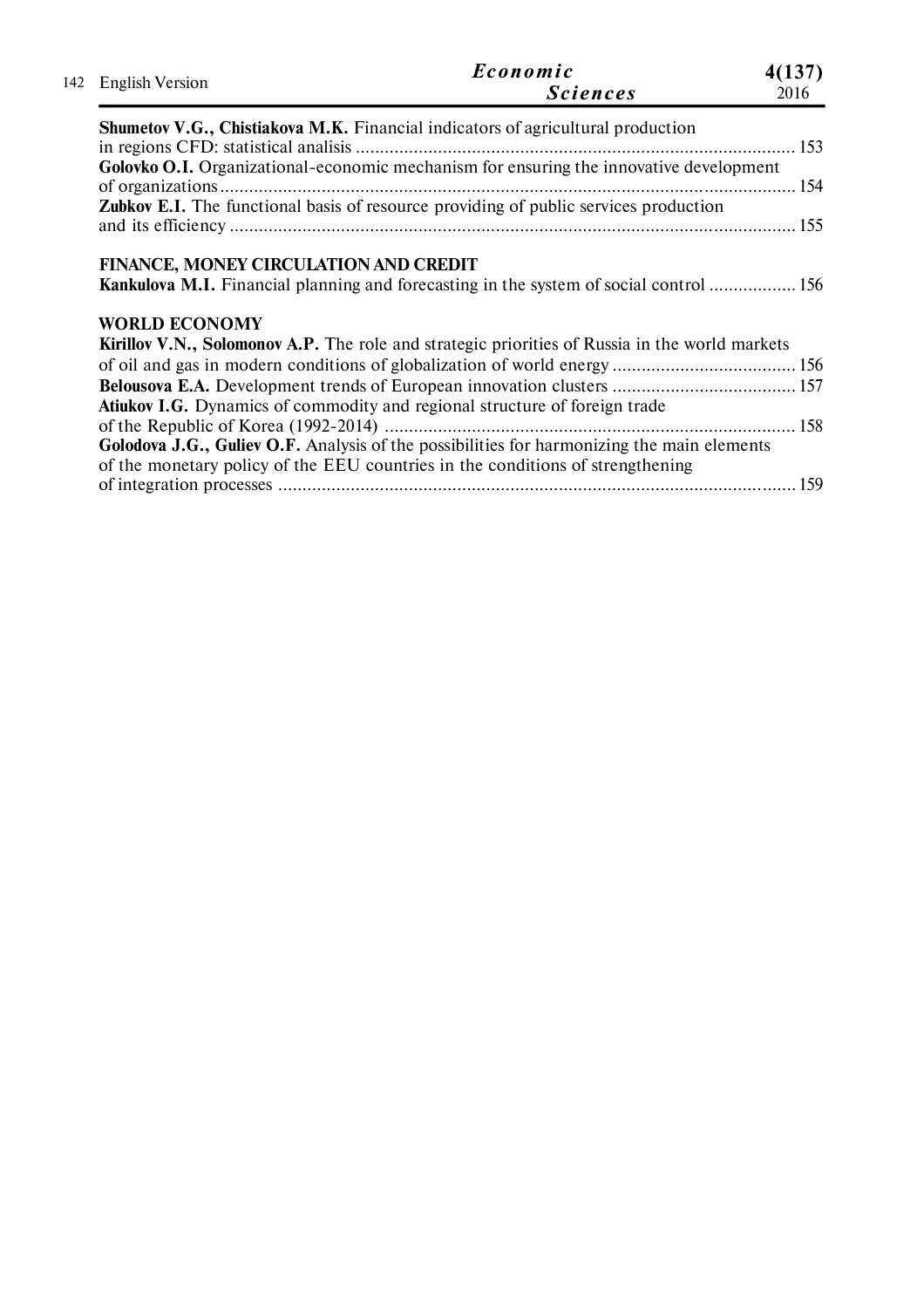| 142 English Version                                           | Economic<br><i>Sciences</i>                                                                                                                                                  | 4(137)<br>2016 |
|---------------------------------------------------------------|------------------------------------------------------------------------------------------------------------------------------------------------------------------------------|----------------|
|                                                               | <b>Shumetov V.G., Chistiakova M.K.</b> Financial indicators of agricultural production                                                                                       |                |
|                                                               | Golovko O.I. Organizational-economic mechanism for ensuring the innovative development                                                                                       |                |
|                                                               | Zubkov E.I. The functional basis of resource providing of public services production                                                                                         |                |
| FINANCE, MONEY CIRCULATION AND CREDIT<br><b>WORLD ECONOMY</b> | <b>Kankulova M.I.</b> Financial planning and forecasting in the system of social control  156                                                                                |                |
|                                                               | <b>Kirillov V.N., Solomonov A.P.</b> The role and strategic priorities of Russia in the world markets                                                                        |                |
|                                                               |                                                                                                                                                                              |                |
|                                                               | Atiukov I.G. Dynamics of commodity and regional structure of foreign trade                                                                                                   |                |
|                                                               |                                                                                                                                                                              |                |
|                                                               | Golodova J.G., Guliev O.F. Analysis of the possibilities for harmonizing the main elements<br>of the monetary policy of the EEU countries in the conditions of strengthening |                |
|                                                               |                                                                                                                                                                              |                |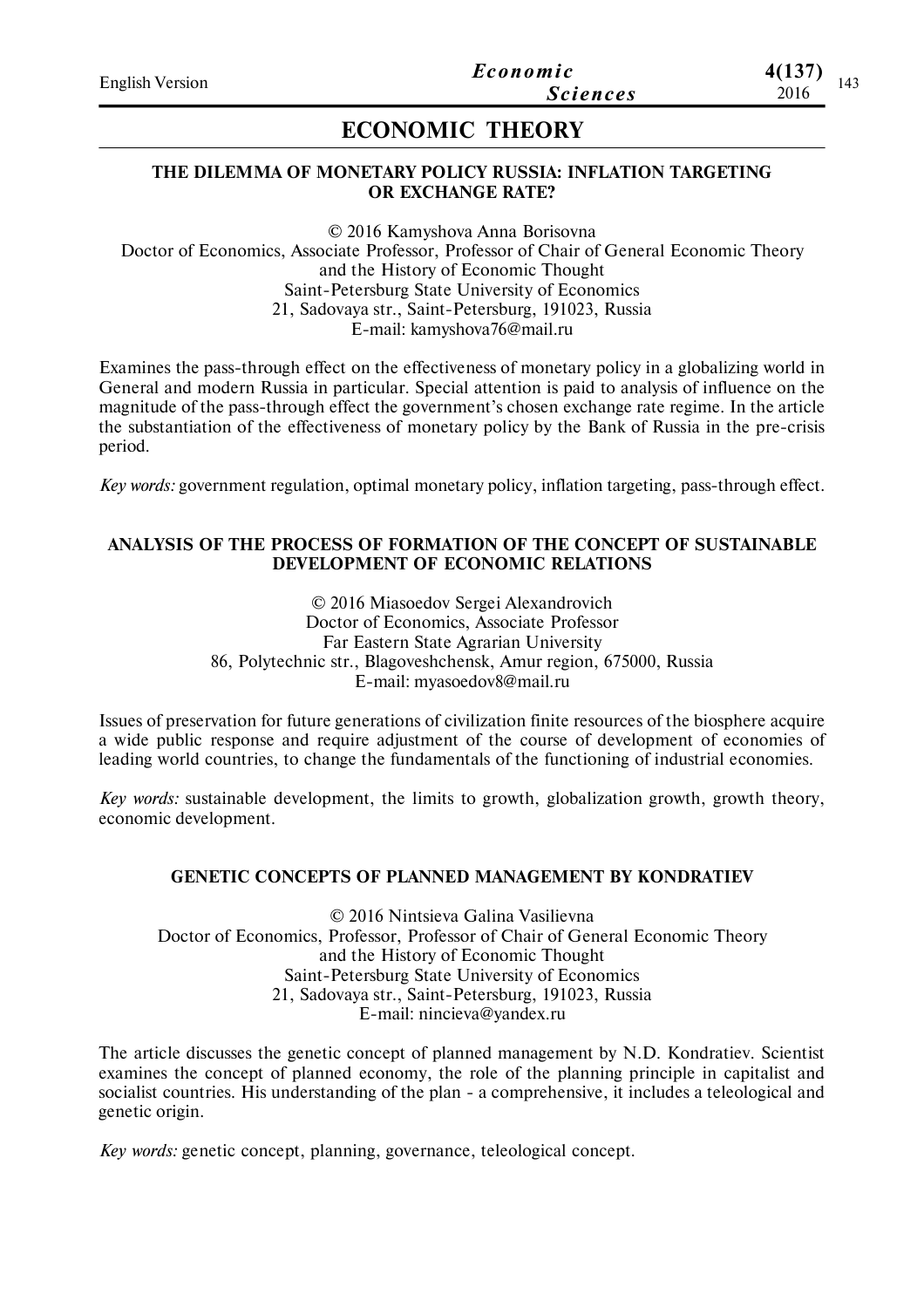# **ECONOMIC THEORY**

## **THE DILEMMA OF MONETARY POLICY RUSSIA: INFLATION TARGETING OR EXCHANGE RATE?**

© 2016 Kamyshova Anna Borisovna Doctor of Economics, Associate Professor, Professor of Сhair of General Economic Theory and the History of Economic Thought Saint-Petersburg State University of Economics 21, Sadovaya str., Saint-Petersburg, 191023, Russia E-mail: kamyshova76@mail.ru

Examines the pass-through effect on the effectiveness of monetary policy in a globalizing world in General and modern Russia in particular. Special attention is paid to analysis of influence on the magnitude of the pass-through effect the government's chosen exchange rate regime. In the article the substantiation of the effectiveness of monetary policy by the Bank of Russia in the pre-crisis period.

*Key words:* government regulation, optimal monetary policy, inflation targeting, pass-through effect.

### **ANALYSIS OF THE PROCESS OF FORMATION OF THE CONCEPT OF SUSTAINABLE DEVELOPMENT OF ECONOMIC RELATIONS**

© 2016 Miasoedov Sergei Alexandrovich Doctor of Economics, Associate Professor Far Eastern State Agrarian University 86, Polytechnic str., Blagoveshchensk, Amur region, 675000, Russia E-mail: myasoedov8@mail.ru

Issues of preservation for future generations of civilization finite resources of the biosphere acquire a wide public response and require adjustment of the course of development of economies of leading world countries, to change the fundamentals of the functioning of industrial economies.

*Key words:* sustainable development, the limits to growth, globalization growth, growth theory, economic development.

## **GENETIC CONCEPTS OF PLANNED MANAGEMENT BY KONDRATIEV**

© 2016 Nintsieva Galina Vasilievna Doctor of Economics, Professor, Professor of Chair of General Economic Theory and the History of Economic Thought Saint-Petersburg State University of Economics 21, Sadovaya str., Saint-Petersburg, 191023, Russia E-mail: nincieva@yandex.ru

The article discusses the genetic concept of planned management by N.D. Kondratiev. Scientist examines the concept of planned economy, the role of the planning principle in capitalist and socialist countries. His understanding of the plan - a comprehensive, it includes a teleological and genetic origin.

*Key words:* genetic concept, planning, governance, teleological concept.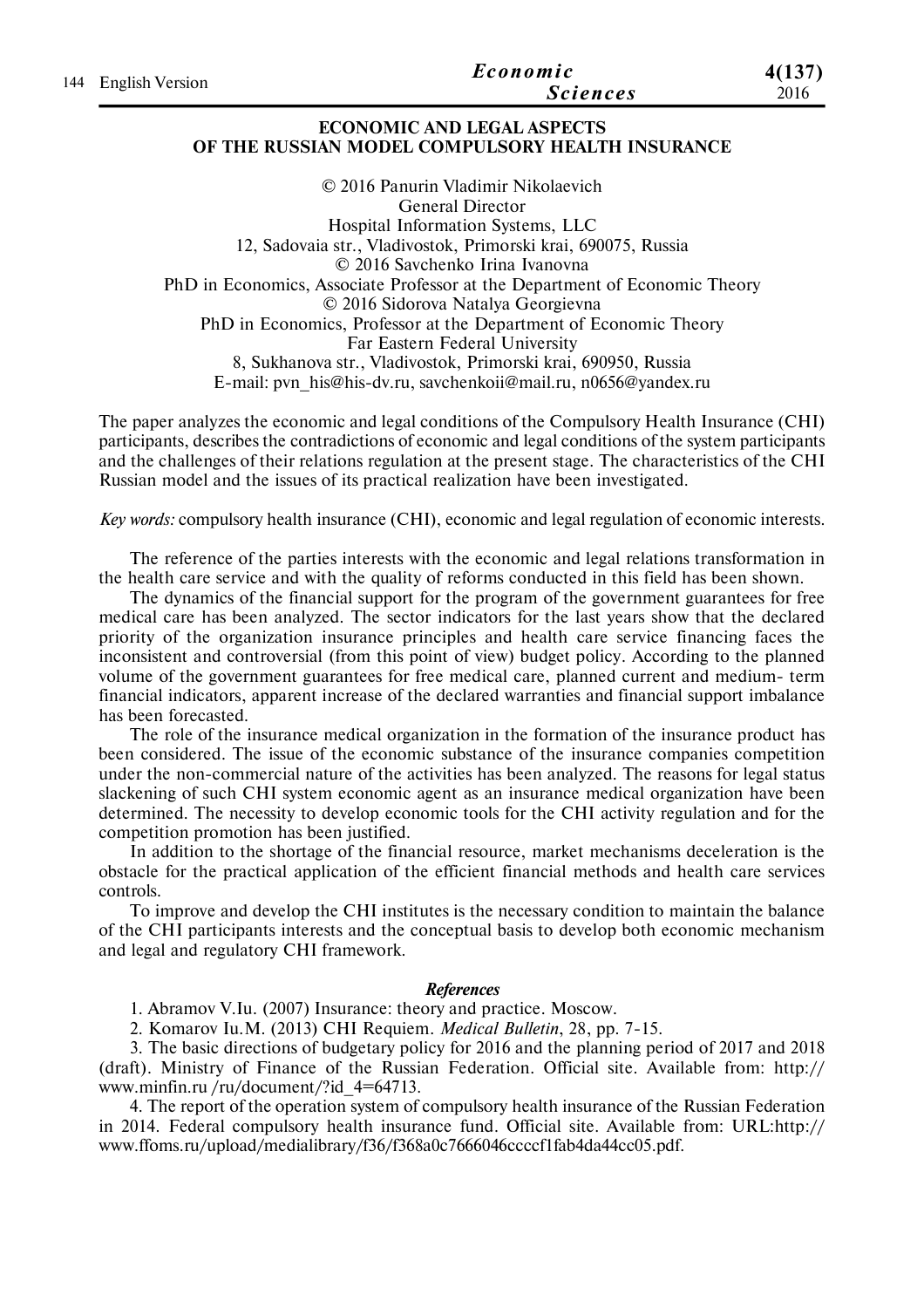|                     | Economic        | 4(137)<br>2016 |
|---------------------|-----------------|----------------|
| 144 English Version | <i>Sciences</i> |                |
|                     |                 |                |

### **ECONOMIC AND LEGAL ASPECTS OF THE RUSSIAN MODEL COMPULSORY HEALTH INSURANCE**

© 2016 Panurin Vladimir Nikolaevich General Director Hospital Information Systems, LLC 12, Sadovaia str., Vladivostok, Primorski krai, 690075, Russia © 2016 Savchenko Irina Ivanovna PhD in Economics, Associate Professor at the Department of Economic Theory © 2016 Sidorova Natalya Georgievna PhD in Economics, Professor at the Department of Economic Theory Far Eastern Federal University 8, Sukhanova str., Vladivostok, Primorski krai, 690950, Russia E-mail: pvn\_his@his-dv.ru, savchenkoii@mail.ru, n0656@yandex.ru

The paper analyzes the economic and legal conditions of the Compulsory Health Insurance (CHI) participants, describes the contradictions of economic and legal conditions of the system participants and the challenges of their relations regulation at the present stage. The characteristics of the CHI Russian model and the issues of its practical realization have been investigated.

*Key words:* compulsory health insurance (CHI), economic and legal regulation of economic interests.

The reference of the parties interests with the economic and legal relations transformation in the health care service and with the quality of reforms conducted in this field has been shown.

The dynamics of the financial support for the program of the government guarantees for free medical care has been analyzed. The sector indicators for the last years show that the declared priority of the organization insurance principles and health care service financing faces the inconsistent and controversial (from this point of view) budget policy. According to the planned volume of the government guarantees for free medical care, planned current and medium- term financial indicators, apparent increase of the declared warranties and financial support imbalance has been forecasted.

The role of the insurance medical organization in the formation of the insurance product has been considered. The issue of the economic substance of the insurance companies competition under the non-commercial nature of the activities has been analyzed. The reasons for legal status slackening of such CHI system economic agent as an insurance medical organization have been determined. The necessity to develop economic tools for the CHI activity regulation and for the competition promotion has been justified.

In addition to the shortage of the financial resource, market mechanisms deceleration is the obstacle for the practical application of the efficient financial methods and health care services controls.

To improve and develop the CHI institutes is the necessary condition to maintain the balance of the CHI participants interests and the conceptual basis to develop both economic mechanism and legal and regulatory CHI framework.

#### *References*

1. Abramov V.Iu. (2007) Insurance: theory and practice. Moscow.

2. Komarov Iu.M. (2013) CHI Requiem. *Medical Bulletin*, 28, pp. 7-15.

3. The basic directions of budgetary policy for 2016 and the planning period of 2017 and 2018 (draft). Ministry of Finance of the Russian Federation. Official site. Available from: http:// www.minfin.ru /ru/document/?id\_4=64713.

4. The report of the operation system of compulsory health insurance of the Russian Federation in 2014. Federal compulsory health insurance fund. Official site. Available from: URL:http:// www.ffoms.ru/upload/medialibrary/f36/f368a0c7666046ccccf1fab4da44cc05.pdf.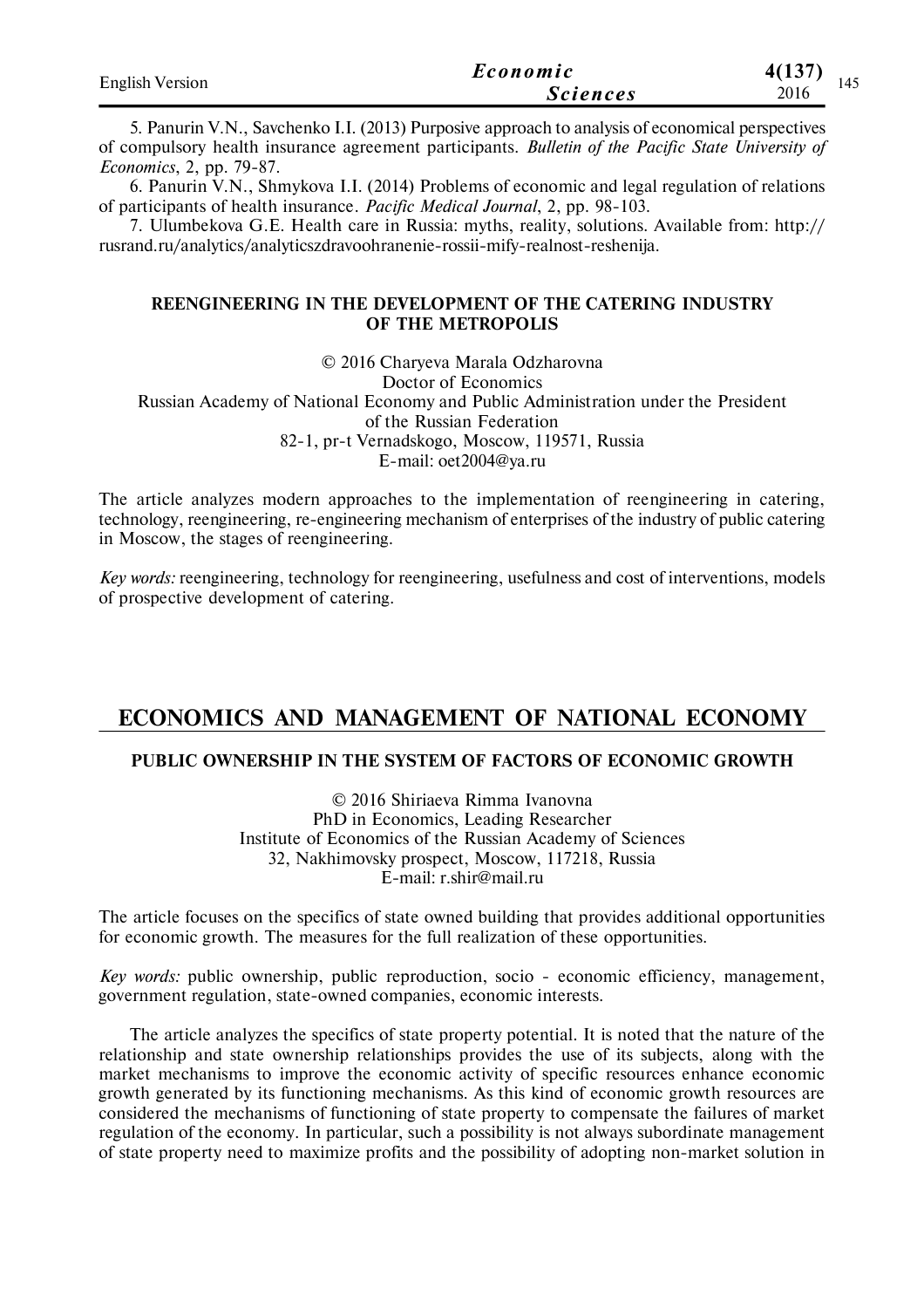| <b>English Version</b> | Economic        | 4(137)      |
|------------------------|-----------------|-------------|
|                        | <i>Sciences</i> | 145<br>2016 |

5. Panurin V.N., Savchenko I.I. (2013) Purposive approach to analysis of economical perspectives of compulsory health insurance agreement participants. *Bulletin of the Pacific State University of Economics*, 2, pp. 79-87.

6. Panurin V.N., Shmykova I.I. (2014) Problems of economic and legal regulation of relations of participants of health insurance. *Pacific Medical Journal*, 2, pp. 98-103.

7. Ulumbekova G.E. Health care in Russia: myths, reality, solutions. Available from: http:// rusrand.ru/analytics/analyticszdravoohranenie-rossii-mify-realnost-reshenija.

## **REENGINEERING IN THE DEVELOPMENT OF THE CATERING INDUSTRY OF THE METROPOLIS**

© 2016 Charyeva Marala Odzharovna Doctor of Economics Russian Academy of National Economy and Public Administration under the President of the Russian Federation 82-1, pr-t Vernadskogo, Moscow, 119571, Russia E-mail: oet2004@ya.ru

The article analyzes modern approaches to the implementation of reengineering in catering, technology, reengineering, re-engineering mechanism of enterprises of the industry of public catering in Moscow, the stages of reengineering.

*Key words:* reengineering, technology for reengineering, usefulness and cost of interventions, models of prospective development of catering.

## **ECONOMICS AND MANAGEMENT OF NATIONAL ECONOMY**

## **PUBLIC OWNERSHIP IN THE SYSTEM OF FACTORS OF ECONOMIC GROWTH**

© 2016 Shiriaeva Rimma Ivanovna PhD in Economics, Leading Researcher Institute of Economics of the Russian Academy of Sciences 32, Nakhimovsky prospect, Moscow, 117218, Russia E-mail: r.shir@mail.ru

The article focuses on the specifics of state owned building that provides additional opportunities for economic growth. The measures for the full realization of these opportunities.

*Key words:* public ownership, public reproduction, socio - economic efficiency, management, government regulation, state-owned companies, economic interests.

The article analyzes the specifics of state property potential. It is noted that the nature of the relationship and state ownership relationships provides the use of its subjects, along with the market mechanisms to improve the economic activity of specific resources enhance economic growth generated by its functioning mechanisms. As this kind of economic growth resources are considered the mechanisms of functioning of state property to compensate the failures of market regulation of the economy. In particular, such a possibility is not always subordinate management of state property need to maximize profits and the possibility of adopting non-market solution in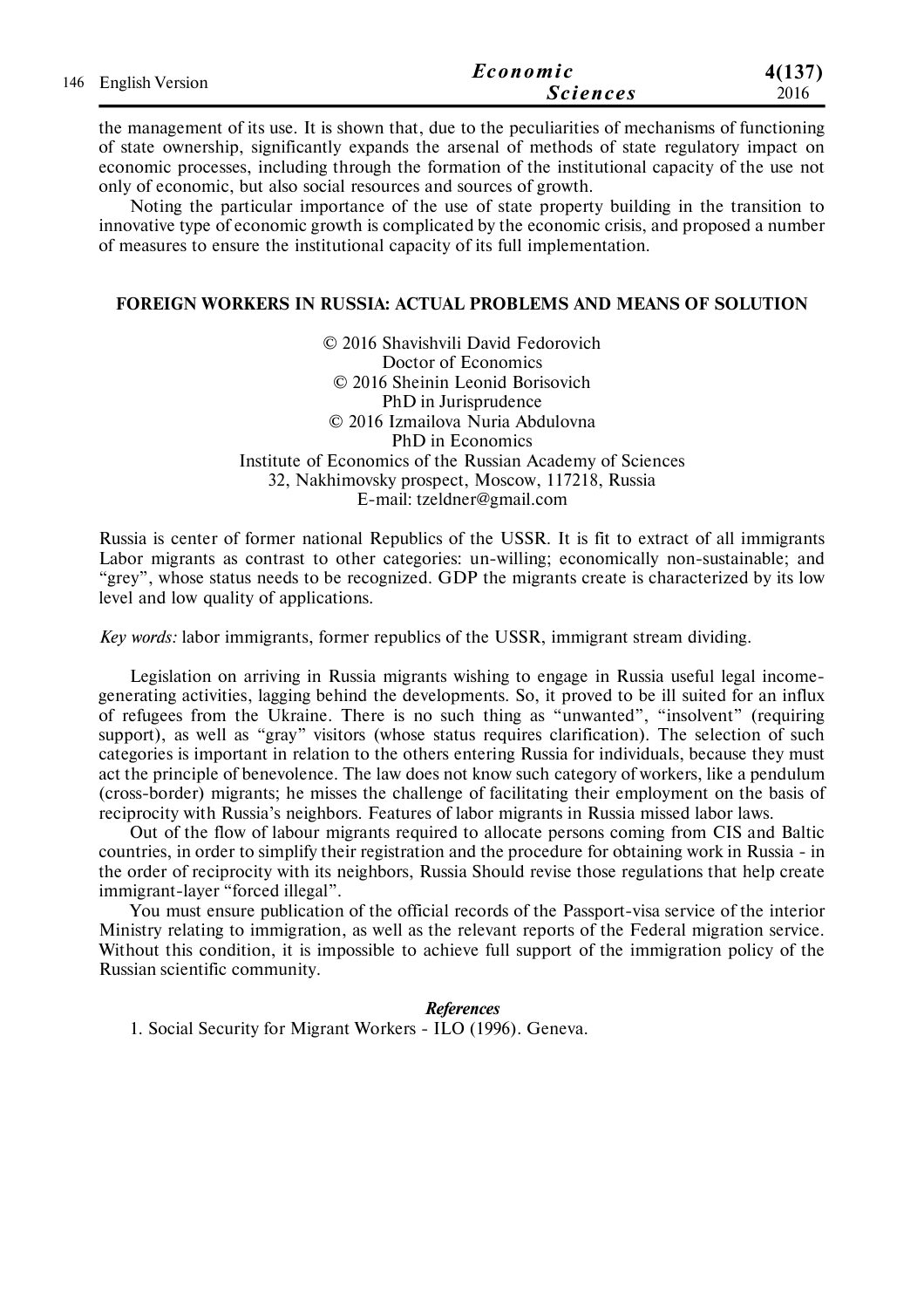|  | 146 English Version | Economic        | 4(137) |
|--|---------------------|-----------------|--------|
|  |                     | <b>Sciences</b> | 2016   |

the management of its use. It is shown that, due to the peculiarities of mechanisms of functioning of state ownership, significantly expands the arsenal of methods of state regulatory impact on economic processes, including through the formation of the institutional capacity of the use not only of economic, but also social resources and sources of growth.

Noting the particular importance of the use of state property building in the transition to innovative type of economic growth is complicated by the economic crisis, and proposed a number of measures to ensure the institutional capacity of its full implementation.

#### **FOREIGN WORKERS IN RUSSIA: ACTUAL PROBLEMS AND MEANS OF SOLUTION**

© 2016 Shavishvili David Fedorovich Doctor of Economics © 2016 Sheinin Leonid Borisovich PhD in Jurisprudence © 2016 Izmailova Nuria Abdulovna PhD in Economics Institute of Economics of the Russian Academy of Sciences 32, Nakhimovsky prospect, Moscow, 117218, Russia E-mail: tzeldner@gmail.com

Russia is center of former national Republics of the USSR. It is fit to extract of all immigrants Labor migrants as contrast to other categories: un-willing; economically non-sustainable; and "grey", whose status needs to be recognized. GDP the migrants create is characterized by its low level and low quality of applications.

*Key words:* labor immigrants, former republics of the USSR, immigrant stream dividing.

Legislation on arriving in Russia migrants wishing to engage in Russia useful legal incomegenerating activities, lagging behind the developments. So, it proved to be ill suited for an influx of refugees from the Ukraine. There is no such thing as "unwanted", "insolvent" (requiring support), as well as "gray" visitors (whose status requires clarification). The selection of such categories is important in relation to the others entering Russia for individuals, because they must act the principle of benevolence. The law does not know such category of workers, like a pendulum (cross-border) migrants; he misses the challenge of facilitating their employment on the basis of reciprocity with Russia's neighbors. Features of labor migrants in Russia missed labor laws.

Out of the flow of labour migrants required to allocate persons coming from CIS and Baltic countries, in order to simplify their registration and the procedure for obtaining work in Russia - in the order of reciprocity with its neighbors, Russia Should revise those regulations that help create immigrant-layer "forced illegal".

You must ensure publication of the official records of the Passport-visa service of the interior Ministry relating to immigration, as well as the relevant reports of the Federal migration service. Without this condition, it is impossible to achieve full support of the immigration policy of the Russian scientific community.

#### *References*

1. Social Security for Migrant Workers - ILO (1996). Geneva.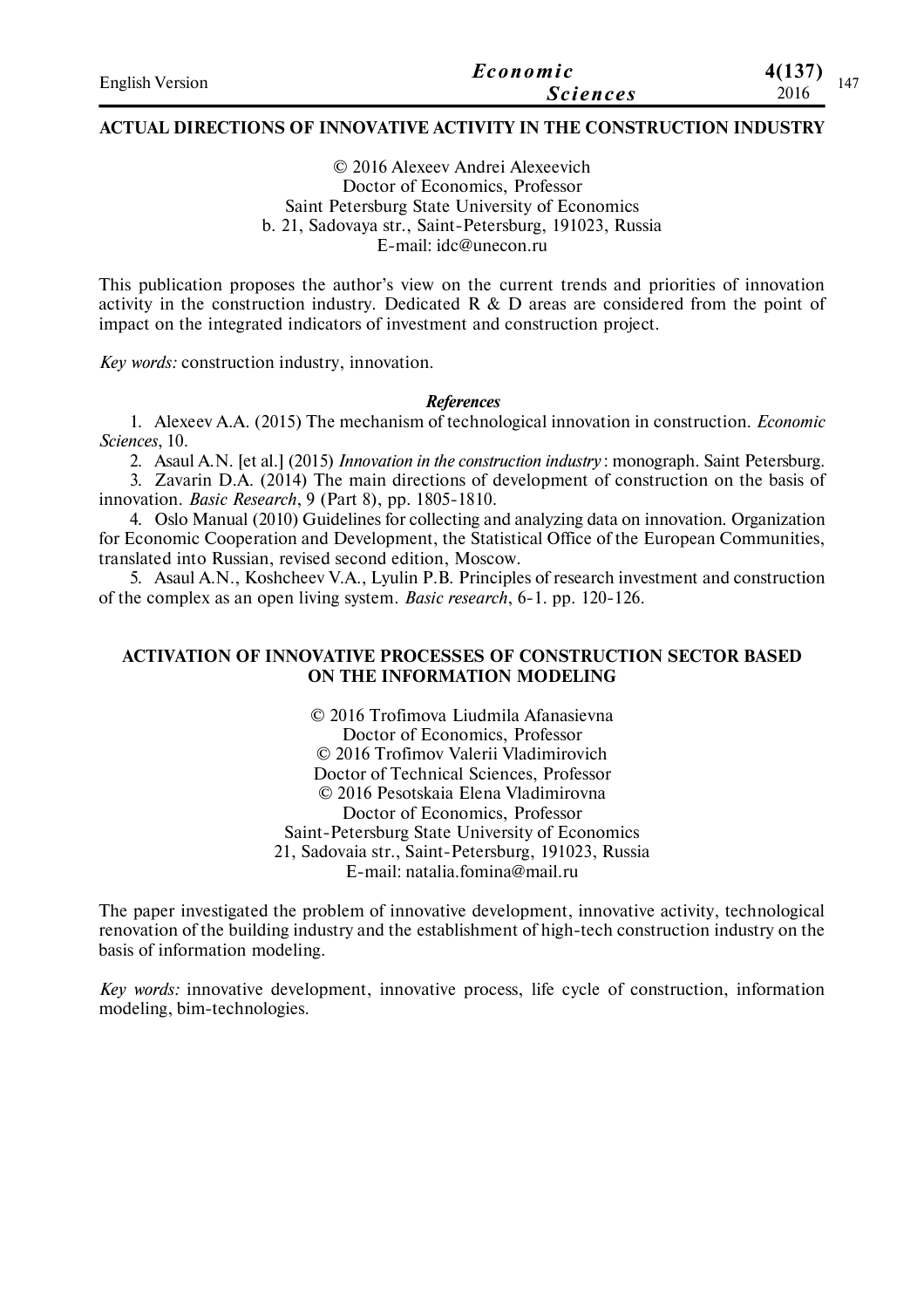| <b>English Version</b> | Economic        | 4(137)<br>47 |  |
|------------------------|-----------------|--------------|--|
|                        | <b>Sciences</b> | 2016         |  |

#### **ACTUAL DIRECTIONS OF INNOVATIVE ACTIVITY IN THE CONSTRUCTION INDUSTRY**

© 2016 Alexeev Andrei Аlexeevich Doctor of Economics, Professor Saint Petersburg State University of Economics b. 21, Sadovaya str., Saint-Petersburg, 191023, Russia E-mail: idc@unecon.ru

This publication proposes the author's view on the current trends and priorities of innovation activity in the construction industry. Dedicated  $R \& D$  areas are considered from the point of impact on the integrated indicators of investment and construction project.

*Key words:* construction industry, innovation.

#### *References*

1. Alexeev A.A. (2015) The mechanism of technological innovation in construction. *Economic Sciences*, 10.

2. Asaul A.N. [et al.] (2015) *Innovation in the construction industry* : monograph. Saint Petersburg.

3. Zavarin D.A. (2014) The main directions of development of construction on the basis of innovation. *Basic Research*, 9 (Part 8), pp. 1805-1810.

4. Oslo Manual (2010) Guidelines for collecting and analyzing data on innovation. Organization for Economic Cooperation and Development, the Statistical Office of the European Communities, translated into Russian, revised second edition, Moscow.

5. Asaul A.N., Koshcheev V.A., Lyulin P.B. Principles of research investment and construction of the complex as an open living system. *Basic research*, 6-1. pp. 120-126.

## **ACTIVATION OF INNOVATIVE PROCESSES OF CONSTRUCTION SECTOR BASED ON THE INFORMATION MODELING**

© 2016 Trofimova Liudmila Afanasievna Doctor of Economics, Professor © 2016 Trofimov Valerii Vladimirovich Doctor of Technical Sciences, Professor © 2016 Pesotskaia Elena Vladimirovna Doctor of Economics, Professor Saint-Petersburg State University of Economics 21, Sadovaia str., Saint-Petersburg, 191023, Russia E-mail: natalia.fomina@mail.ru

The paper investigated the problem of innovative development, innovative activity, technological renovation of the building industry and the establishment of high-tech construction industry on the basis of information modeling.

*Key words:* innovative development, innovative process, life cycle of construction, information modeling, bim-technologies.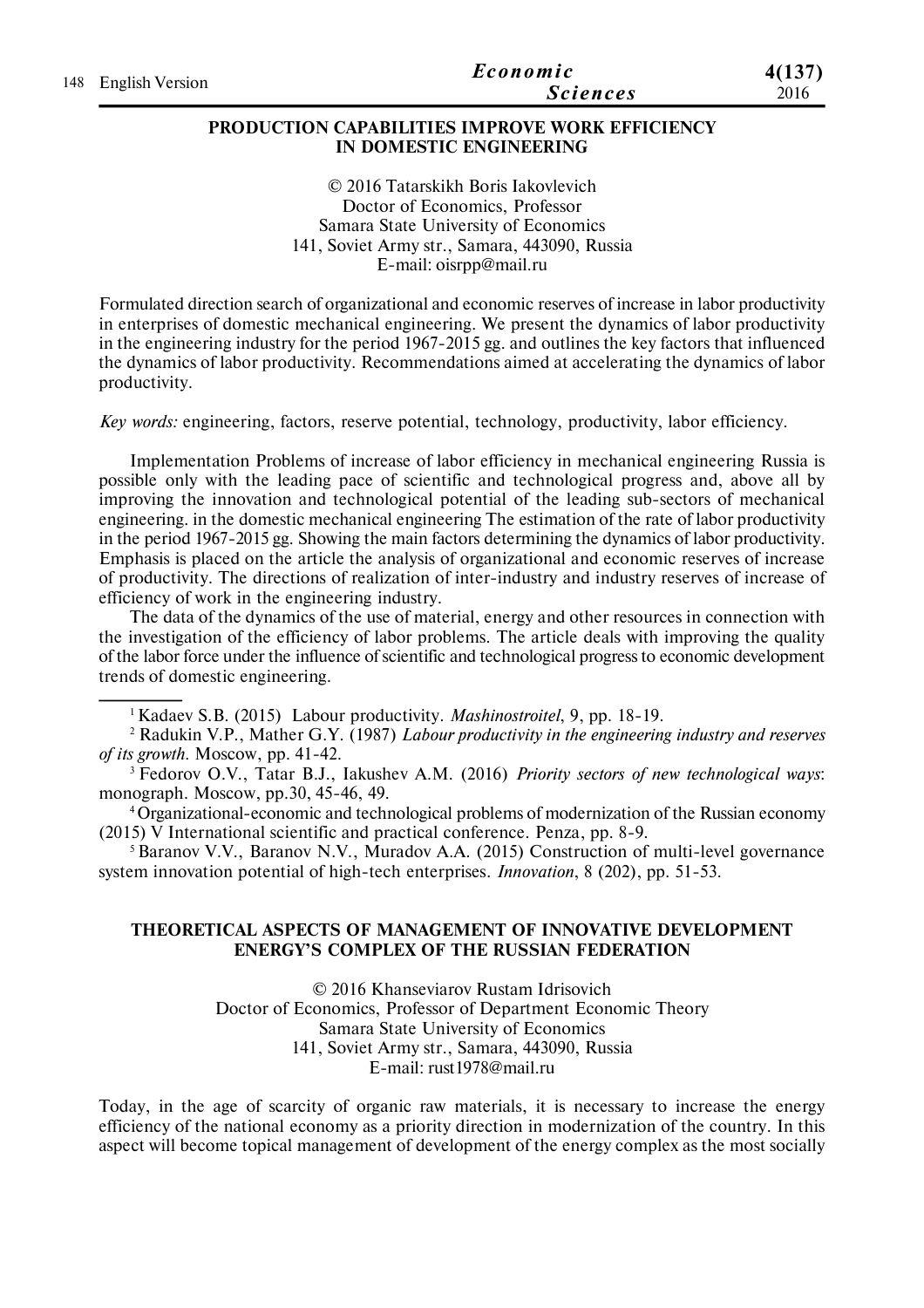| 148 English Version | Economic        | 4(137) |
|---------------------|-----------------|--------|
|                     | <i>Sciences</i> | 2016   |

#### **PRODUCTION CAPABILITIES IMPROVE WORK EFFICIENCY IN DOMESTIC ENGINEERING**

© 2016 Tatarskikh Boris Iakovlevich Doctor of Economics, Professor Samara State University of Economics 141, Soviet Army str., Samara, 443090, Russia E-mail: oisrpp@mail.ru

Formulated direction search of organizational and economic reserves of increase in labor productivity in enterprises of domestic mechanical engineering. We present the dynamics of labor productivity in the engineering industry for the period 1967-2015 gg. and outlines the key factors that influenced the dynamics of labor productivity. Recommendations aimed at accelerating the dynamics of labor productivity.

*Key words:* engineering, factors, reserve potential, technology, productivity, labor efficiency.

Implementation Problems of increase of labor efficiency in mechanical engineering Russia is possible only with the leading pace of scientific and technological progress and, above all by improving the innovation and technological potential of the leading sub-sectors of mechanical engineering. in the domestic mechanical engineering The estimation of the rate of labor productivity in the period 1967-2015 gg. Showing the main factors determining the dynamics of labor productivity. Emphasis is placed on the article the analysis of organizational and economic reserves of increase of productivity. The directions of realization of inter-industry and industry reserves of increase of efficiency of work in the engineering industry.

The data of the dynamics of the use of material, energy and other resources in connection with the investigation of the efficiency of labor problems. The article deals with improving the quality of the labor force under the influence of scientific and technological progress to economic development trends of domestic engineering.

<sup>1</sup>Kadaev S.B. (2015) Labour productivity. *Mashinostroitel*, 9, рр. 18-19.

2 Radukin V.P., Mather G.Y. (1987) *Labour productivity in the engineering industry and reserves of its growth*. Moscow, рр. 41-42.

<sup>3</sup>Fedorov O.V., Tatar B.J., Iakushev A.M. (2016) *Priority sectors of new technological ways*: monograph. Moscow, рp.30, 45-46, 49.

<sup>4</sup>Organizational-economic and technological problems of modernization of the Russian economy (2015) V International scientific and practical conference. Penza, рр. 8-9.

<sup>5</sup> Baranov V.V., Baranov N.V., Muradov A.A. (2015) Construction of multi-level governance system innovation potential of high-tech enterprises. *Innovation*, 8 (202), рр. 51-53.

#### **THEORETICAL ASPECTS OF MANAGEMENT OF INNOVATIVE DEVELOPMENT ENERGY'S COMPLEX OF THE RUSSIAN FEDERATION**

© 2016 Khanseviarov Rustam Idrisovich Doctor of Economics, Professor of Department Economic Theory Samara State University of Economics 141, Soviet Army str., Samara, 443090, Russia E-mail: rust1978@mail.ru

Today, in the age of scarcity of organic raw materials, it is necessary to increase the energy efficiency of the national economy as a priority direction in modernization of the country. In this aspect will become topical management of development of the energy complex as the most socially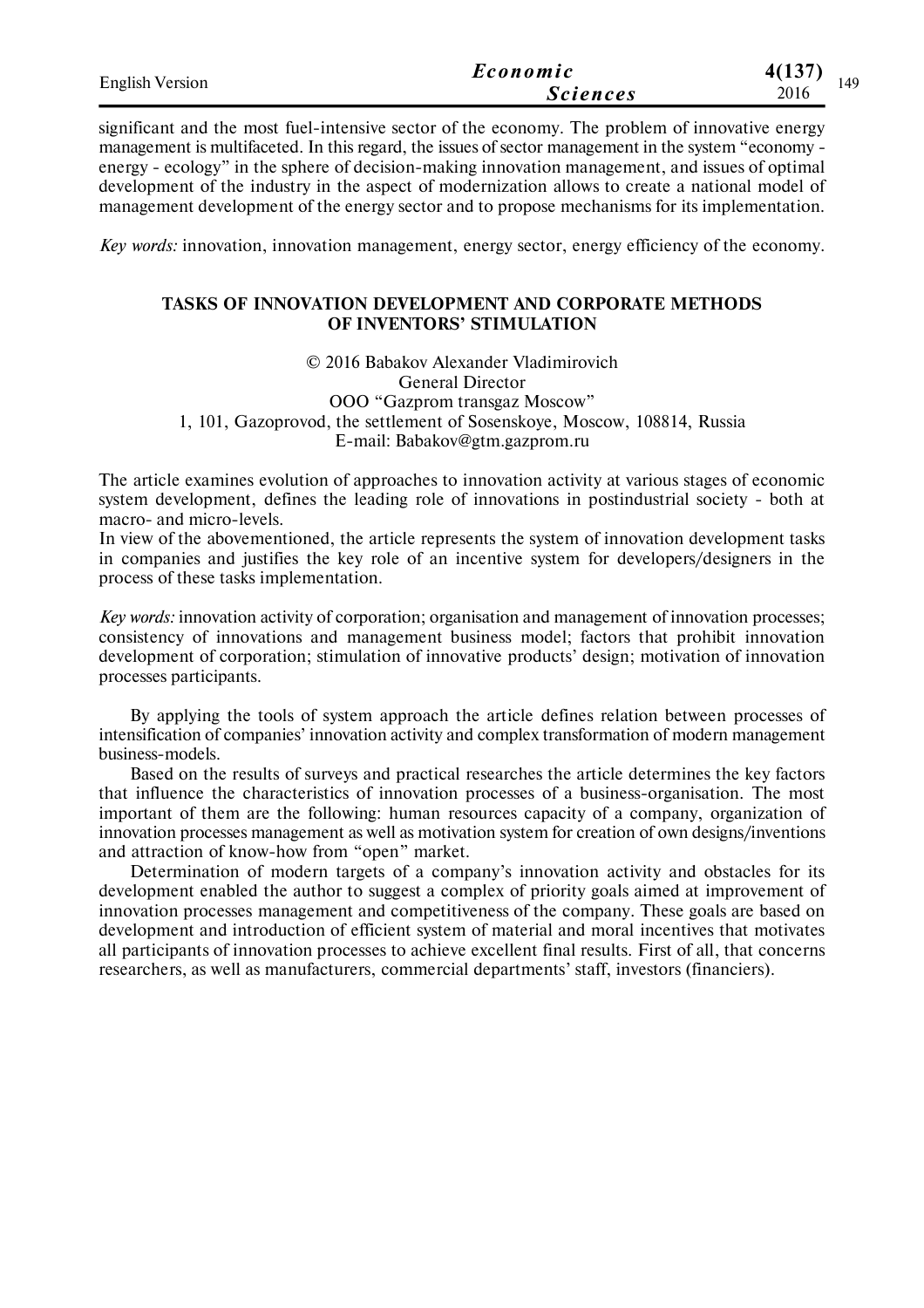| <b>English Version</b> | Economic        | 4(137)<br>149 |
|------------------------|-----------------|---------------|
|                        | <b>Sciences</b> | 2016          |

significant and the most fuel-intensive sector of the economy. The problem of innovative energy management is multifaceted. In this regard, the issues of sector management in the system "economy energy - ecology" in the sphere of decision-making innovation management, and issues of optimal development of the industry in the aspect of modernization allows to create a national model of management development of the energy sector and to propose mechanisms for its implementation.

*Key words:* innovation, innovation management, energy sector, energy efficiency of the economy.

### **TASKS OF INNOVATION DEVELOPMENT AND CORPORATE METHODS OF INVENTORS' STIMULATION**

© 2016 Babakov Alexander Vladimirovich General Director OOO "Gazprom transgaz Moscow" 1, 101, Gazoprovod, the settlement of Sosenskoye, Moscow, 108814, Russia E-mail: Babakov@gtm.gazprom.ru

The article examines evolution of approaches to innovation activity at various stages of economic system development, defines the leading role of innovations in postindustrial society - both at macro- and micro-levels.

In view of the abovementioned, the article represents the system of innovation development tasks in companies and justifies the key role of an incentive system for developers/designers in the process of these tasks implementation.

*Key words:* innovation activity of corporation; organisation and management of innovation processes; consistency of innovations and management business model; factors that prohibit innovation development of corporation; stimulation of innovative products' design; motivation of innovation processes participants.

By applying the tools of system approach the article defines relation between processes of intensification of companies' innovation activity and complex transformation of modern management business-models.

Based on the results of surveys and practical researches the article determines the key factors that influence the characteristics of innovation processes of a business-organisation. The most important of them are the following: human resources capacity of a company, organization of innovation processes management as well as motivation system for creation of own designs/inventions and attraction of know-how from "open" market.

Determination of modern targets of a company's innovation activity and obstacles for its development enabled the author to suggest a complex of priority goals aimed at improvement of innovation processes management and competitiveness of the company. These goals are based on development and introduction of efficient system of material and moral incentives that motivates all participants of innovation processes to achieve excellent final results. First of all, that concerns researchers, as well as manufacturers, commercial departments' staff, investors (financiers).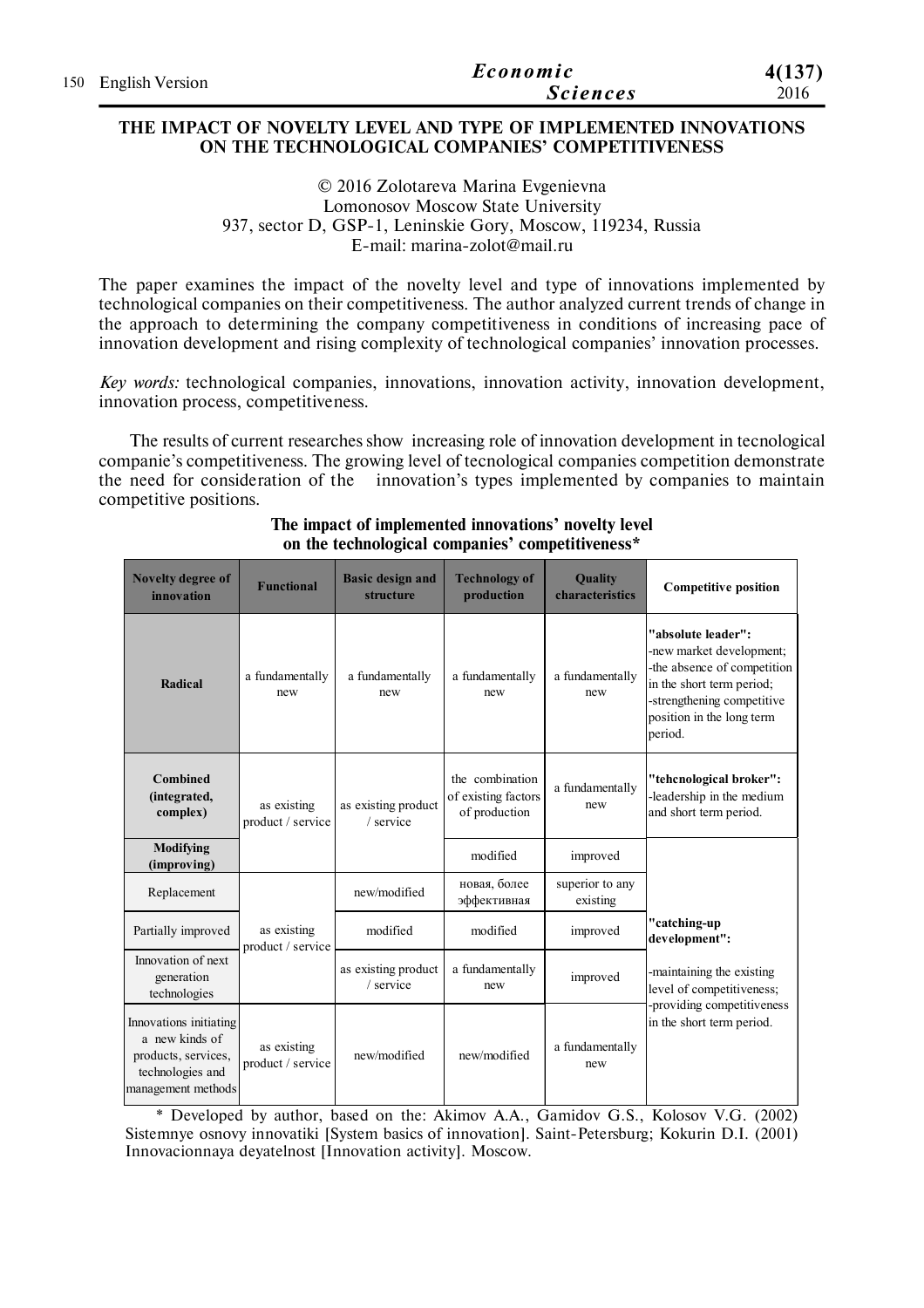| 150 English Version | Economic        | 4(137) |
|---------------------|-----------------|--------|
|                     | <i>Sciences</i> | 2016   |

#### **THE IMPACT OF NOVELTY LEVEL AND TYPE OF IMPLEMENTED INNOVATIONS ON THE TECHNOLOGICAL COMPANIES' COMPETITIVENESS**

© 2016 Zolotareva Marina Evgenievna Lomonosov Moscow State University 937, sector D, GSP-1, Leninskie Gory, Moscow, 119234, Russia E-mail: marina-zolot@mail.ru

The paper examines the impact of the novelty level and type of innovations implemented by technological companies on their competitiveness. The author analyzed current trends of change in the approach to determining the company competitiveness in conditions of increasing pace of innovation development and rising complexity of technological companies' innovation processes.

*Key words:* technological companies, innovations, innovation activity, innovation development, innovation process, competitiveness.

The results of current researches show increasing role of innovation development in tecnological companie's competitiveness. The growing level of tecnological companies competition demonstrate the need for consideration of the innovation's types implemented by companies to maintain competitive positions.

| Novelty degree of<br>innovation                                                                           | <b>Functional</b>                | <b>Basic design and</b><br>structure | <b>Technology of</b><br>production                      | Quality<br>characteristics  | <b>Competitive position</b>                                                                                                                                                      |
|-----------------------------------------------------------------------------------------------------------|----------------------------------|--------------------------------------|---------------------------------------------------------|-----------------------------|----------------------------------------------------------------------------------------------------------------------------------------------------------------------------------|
| Radical                                                                                                   | a fundamentally<br>new           | a fundamentally<br>new               | a fundamentally<br>new                                  | a fundamentally<br>new      | "absolute leader":<br>-new market development;<br>-the absence of competition<br>in the short term period;<br>-strengthening competitive<br>position in the long term<br>period. |
| <b>Combined</b><br>(integrated,<br>complex)                                                               | as existing<br>product / service | as existing product<br>/ service     | the combination<br>of existing factors<br>of production | a fundamentally<br>new      | "tehcnological broker":<br>leadership in the medium<br>and short term period.                                                                                                    |
| Modifying<br>(improving)                                                                                  |                                  |                                      | modified                                                | improved                    |                                                                                                                                                                                  |
| Replacement                                                                                               |                                  | new/modified                         | новая, более<br>эффективная                             | superior to any<br>existing |                                                                                                                                                                                  |
| Partially improved                                                                                        | as existing<br>product / service | modified                             | modified                                                | improved                    | "catching-up<br>development":                                                                                                                                                    |
| Innovation of next<br>generation<br>technologies                                                          |                                  | as existing product<br>/ service     | a fundamentally<br>new                                  | improved                    | -maintaining the existing<br>level of competitiveness;                                                                                                                           |
| Innovations initiating<br>a new kinds of<br>products, services,<br>technologies and<br>management methods | as existing<br>product / service | new/modified                         | new/modified                                            | a fundamentally<br>new      | -providing competitiveness<br>in the short term period.                                                                                                                          |

## **The impact of implemented innovations' novelty level on the technological companies' competitiveness\***

\* Developed by author, based on the: Akimov A.A., Gamidov G.S., Kolosov V.G. (2002) Sistemnye osnovy innovatiki [System basics of innovation]. Saint-Petersburg; Kokurin D.I. (2001) Innovacionnaya deyatelnost [Innovation activity]. Moscow.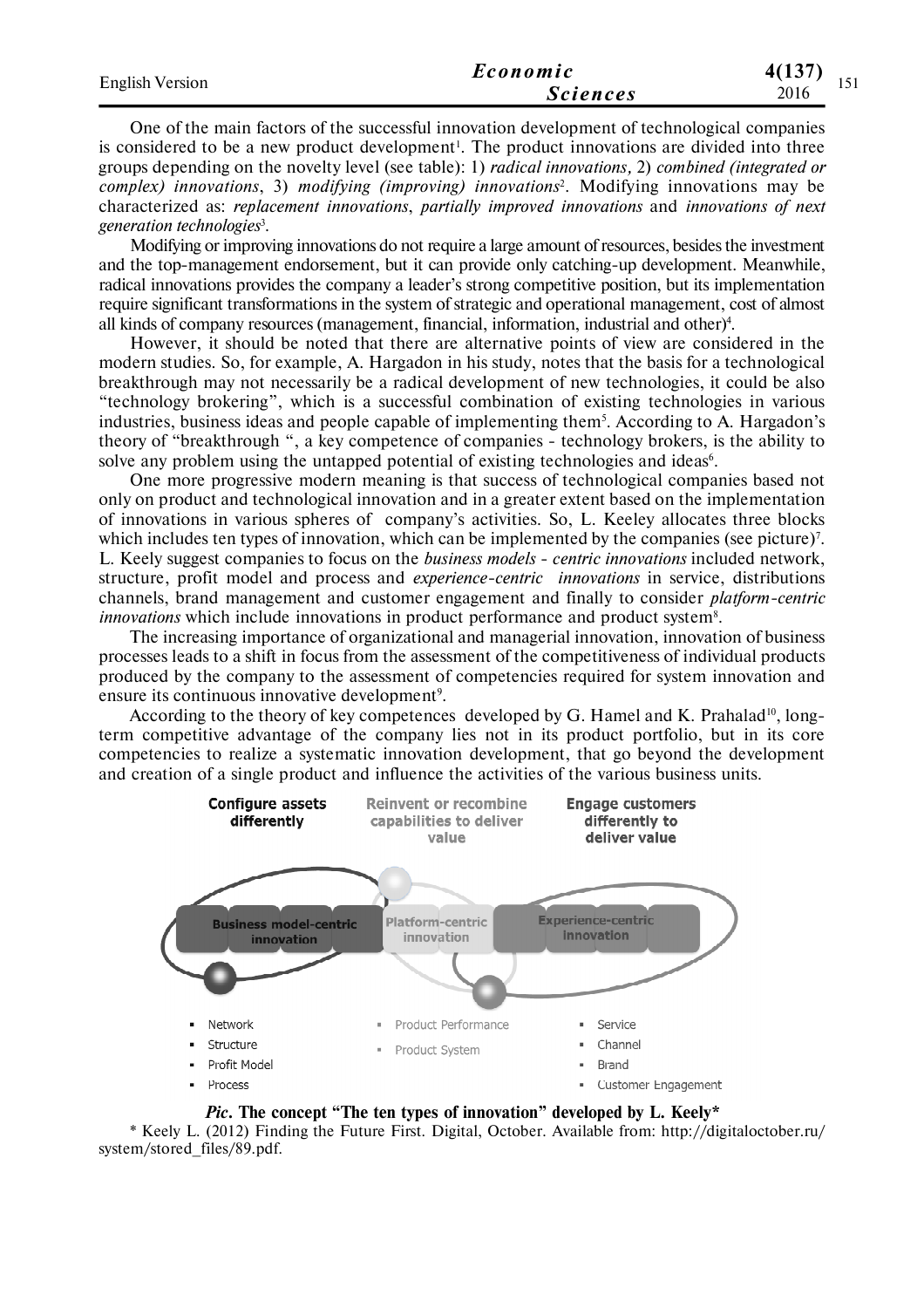| <b>English Version</b> | Economic        | I 41 7 5 V<br>4(13) |
|------------------------|-----------------|---------------------|
|                        | <i>Sciences</i> | 1 J 1<br>2016       |

One of the main factors of the successful innovation development of technological companies is considered to be a new product development<sup>1</sup>. The product innovations are divided into three groups depending on the novelty level (see table): 1) *radical innovations,* 2) *combined (integrated or complex) innovations*, 3) *modifying (improving) innovations*<sup>2</sup> . Modifying innovations may be characterized as: *replacement innovations*, *partially improved innovations* and *innovations of next generation technologies*<sup>3</sup> .

Modifying or improving innovations do not require a large amount of resources, besides the investment and the top-management endorsement, but it can provide only catching-up development. Meanwhile, radical innovations provides the company a leader's strong competitive position, but its implementation require significant transformations in the system of strategic and operational management, cost of almost all kinds of company resources (management, financial, information, industrial and other)<sup>4</sup> .

However, it should be noted that there are alternative points of view are considered in the modern studies. So, for example, A. Hargadon in his study, notes that the basis for a technological breakthrough may not necessarily be a radical development of new technologies, it could be also "technology brokering", which is a successful combination of existing technologies in various industries, business ideas and people capable of implementing them<sup>5</sup>. According to A. Hargadon's theory of "breakthrough ", a key competence of companies - technology brokers, is the ability to solve any problem using the untapped potential of existing technologies and ideas $6$ .

One more progressive modern meaning is that success of technological companies based not only on product and technological innovation and in a greater extent based on the implementation of innovations in various spheres of company's activities. So, L. Keeley allocates three blocks which includes ten types of innovation, which can be implemented by the companies (see picture)<sup>7</sup>. L. Keely suggest companies to focus on the *business models - centric innovations* included network, structure, profit model and process and *experience-centric innovations* in service, distributions channels, brand management and customer engagement and finally to consider *platform-centric innovations* which include innovations in product performance and product system<sup>8</sup>.

The increasing importance of organizational and managerial innovation, innovation of business processes leads to a shift in focus from the assessment of the competitiveness of individual products produced by the company to the assessment of competencies required for system innovation and ensure its continuous innovative development<sup>9</sup>.

According to the theory of key competences developed by G. Hamel and K. Prahalad<sup>10</sup>, longterm competitive advantage of the company lies not in its product portfolio, but in its core competencies to realize a systematic innovation development, that go beyond the development and creation of a single product and influence the activities of the various business units.



*Pic.* **The concept "The ten types of innovation" developed by L. Keely\***

\* Keely L. (2012) Finding the Future First. Digital, October. Available from: http://digitaloctober.ru/ system/stored\_files/89.pdf.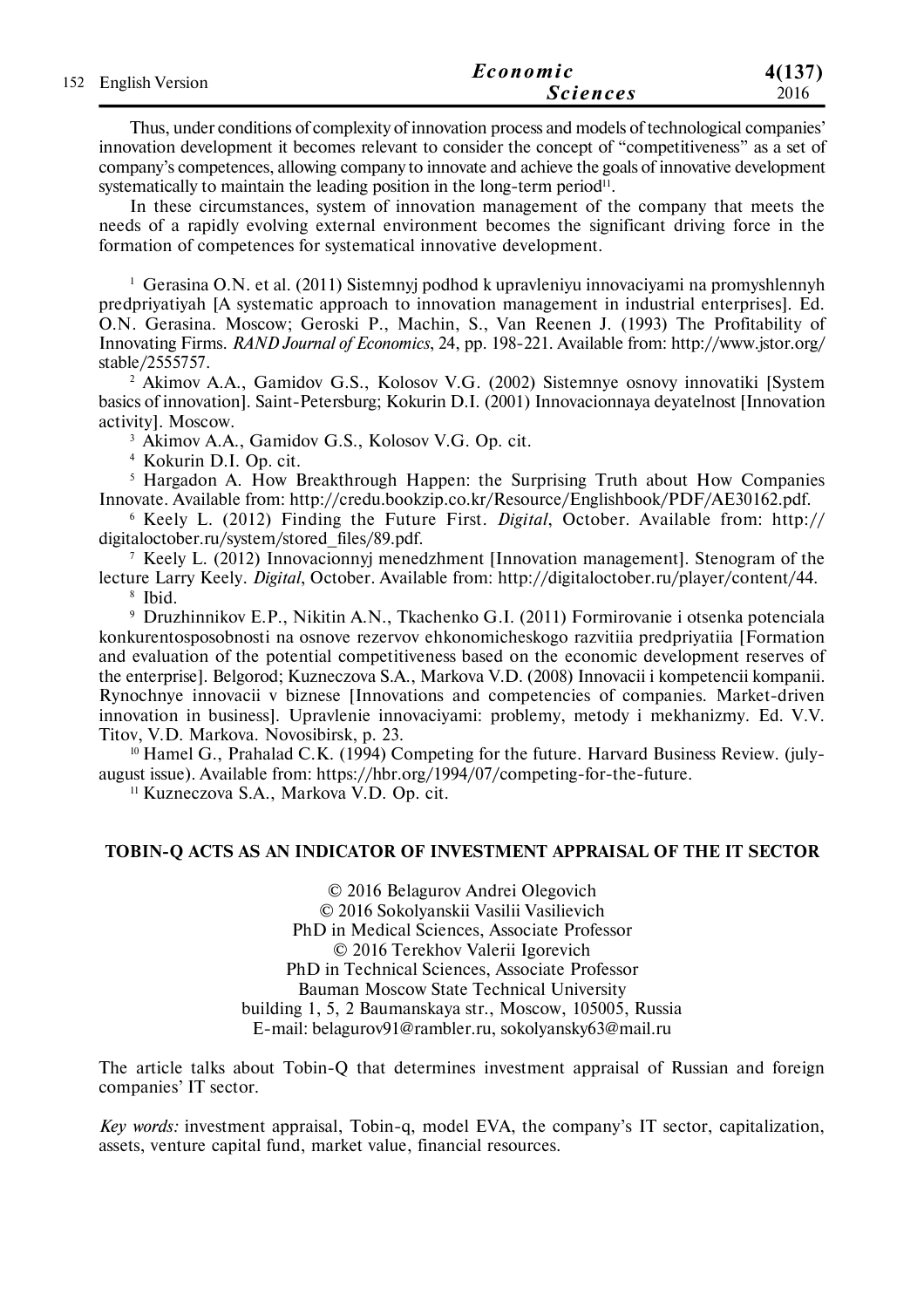| 152 English Version | Economic        | 4(137) |
|---------------------|-----------------|--------|
|                     | <b>Sciences</b> | 2016   |

Thus, under conditions of complexity of innovation process and models of technological companies' innovation development it becomes relevant to consider the concept of "competitiveness" as a set of company's competences, allowing company to innovate and achieve the goals of innovative development systematically to maintain the leading position in the long-term period $^{11}$ .

In these circumstances, system of innovation management of the company that meets the needs of a rapidly evolving external environment becomes the significant driving force in the formation of competences for systematical innovative development.

<sup>1</sup> Gerasina O.N. et al. (2011) Sistemnyj podhod k upravleniyu innovaciyami na promyshlennyh predpriyatiyah [A systematic approach to innovation management in industrial enterprises]. Ed. O.N. Gerasina. Moscow; Geroski P., Machin, S., Van Reenen J. (1993) The Profitability of Innovating Firms. *RAND Journal of Economics*, 24, pp. 198-221. Available from: http://www.jstor.org/ stable/2555757.

<sup>2</sup> Akimov A.A., Gamidov G.S., Kolosov V.G. (2002) Sistemnye osnovy innovatiki [System] basics of innovation]. Saint-Petersburg; Kokurin D.I. (2001) Innovacionnaya deyatelnost [Innovation activity]. Moscow.

<sup>3</sup> Akimov A.A., Gamidov G.S., Kolosov V.G. Op. cit.

<sup>4</sup> Kokurin D.I. Op. cit.

<sup>5</sup> Hargadon A. How Breakthrough Happen: the Surprising Truth about How Companies Innovate. Available from: http://credu.bookzip.co.kr/Resource/Englishbook/PDF/AE30162.pdf.

<sup>6</sup> Keely L. (2012) Finding the Future First. *Digital*, October. Available from: http:// digitaloctober.ru/system/stored\_files/89.pdf.

<sup>7</sup> Keely L. (2012) Innovacionnyj menedzhment [Innovation management]. Stenogram of the lecture Larry Keely. *Digital*, October. Available from: http://digitaloctober.ru/player/content/44. 8 Ibid.

<sup>9</sup> Druzhinnikov E.P., Nikitin A.N., Tkachenko G.I. (2011) Formirovanie i otsenka potenciala konkurentosposobnosti na osnove rezervov ehkonomicheskogo razvitiia predpriyatiia [Formation and evaluation of the potential competitiveness based on the economic development reserves of the enterprise]. Belgorod; Kuzneczova S.A., Markova V.D. (2008) Innovacii i kompetencii kompanii. Rynochnye innovacii v biznese [Innovations and competencies of companies. Market-driven innovation in business]. Upravlenie innovaciyami: problemy, metody i mekhanizmy. Ed. V.V. Titov, V.D. Markova. Novosibirsk, p. 23.

 $10$  Hamel G., Prahalad C.K. (1994) Competing for the future. Harvard Business Review. (julyaugust issue). Available from: https://hbr.org/1994/07/competing-for-the-future.

<sup>11</sup> Kuzneczova S.A., Markova V.D. Op. cit.

#### **TOBIN-Q ACTS AS AN INDICATOR OF INVESTMENT APPRAISAL OF THE IT SECTOR**

© 2016 Belagurov Andrei Olegovich © 2016 Sokolyanskii Vasilii Vasilievich PhD in Medical Sciences, Associate Professor © 2016 Terekhov Valerii Igorevich PhD in Technical Sciences, Associate Professor Bauman Moscow State Technical University building 1, 5, 2 Baumanskaya str., Moscow, 105005, Russia E-mail: belagurov91@rambler.ru, sokolyansky63@mail.ru

The article talks about Tobin-Q that determines investment appraisal of Russian and foreign companies' IT sector.

*Key words:* investment appraisal, Tobin-q, model EVA, the company's IT sector, capitalization, assets, venture capital fund, market value, financial resources.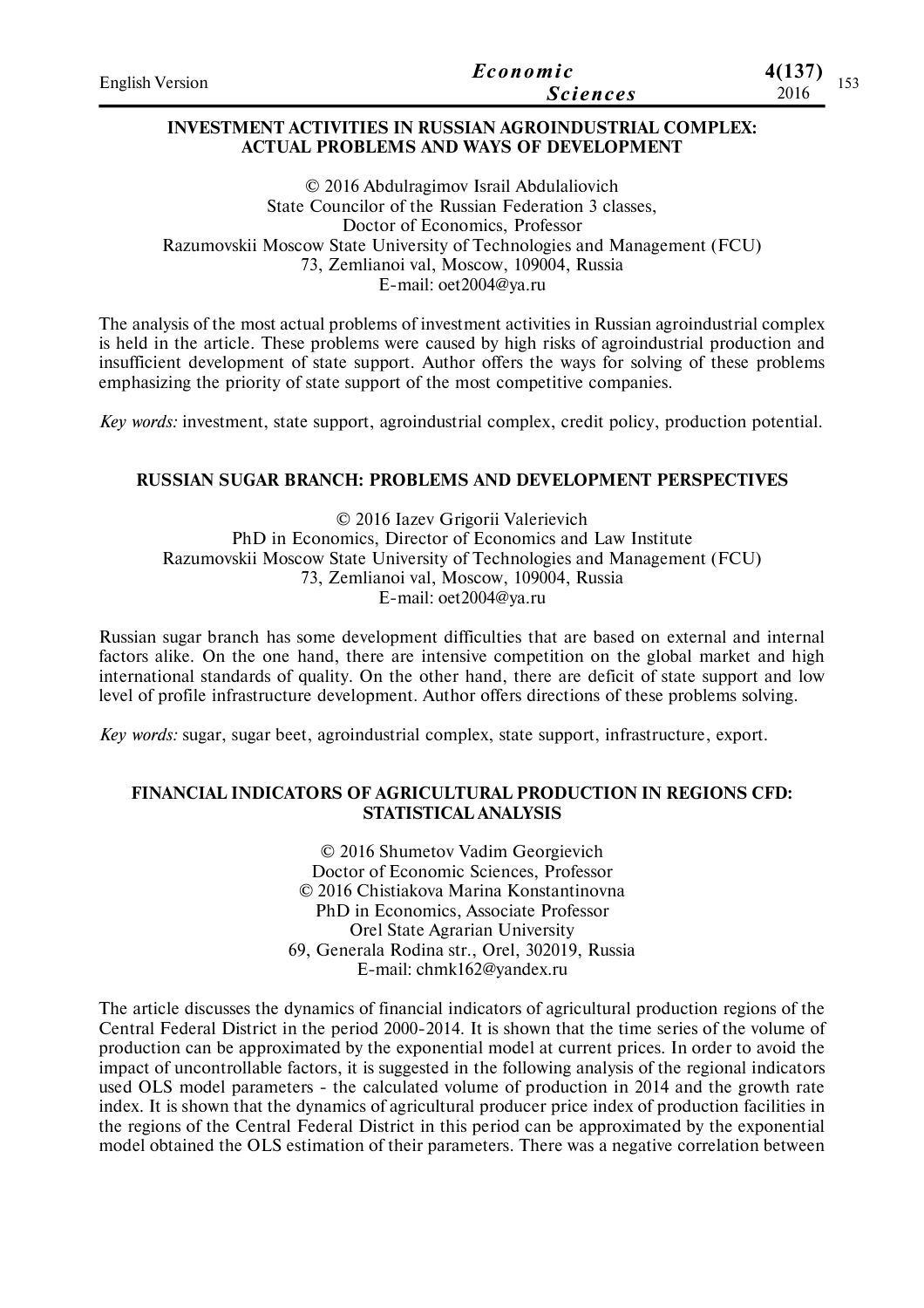| <b>English Version</b> | Economic        | 4(137)      |
|------------------------|-----------------|-------------|
|                        | <i>Sciences</i> | ⊥ັບ<br>2016 |

### **INVESTMENT ACTIVITIES IN RUSSIAN AGROINDUSTRIAL COMPLEX: ACTUAL PROBLEMS AND WAYS OF DEVELOPMENT**

© 2016 Abdulragimov Israil Abdulaliovich State Councilor of the Russian Federation 3 classes, Doctor of Economics, Professor Razumovskii Moscow State University of Technologies and Management (FCU) 73, Zemlianoi val, Moscow, 109004, Russia E-mail: oet2004@ya.ru

The analysis of the most actual problems of investment activities in Russian agroindustrial complex is held in the article. These problems were caused by high risks of agroindustrial production and insufficient development of state support. Author offers the ways for solving of these problems emphasizing the priority of state support of the most competitive companies.

*Key words:* investment, state support, agroindustrial complex, credit policy, production potential.

## **RUSSIAN SUGAR BRANCH: PROBLEMS AND DEVELOPMENT PERSPECTIVES**

© 2016 Iazev Grigorii Valerievich PhD in Economics, Director of Economics and Law Institute Razumovskii Moscow State University of Technologies and Management (FCU) 73, Zemlianoi val, Moscow, 109004, Russia E-mail: oet2004@ya.ru

Russian sugar branch has some development difficulties that are based on external and internal factors alike. On the one hand, there are intensive competition on the global market and high international standards of quality. On the other hand, there are deficit of state support and low level of profile infrastructure development. Author offers directions of these problems solving.

*Key words:* sugar, sugar beet, agroindustrial complex, state support, infrastructure, export.

## **FINANCIAL INDICATORS OF AGRICULTURAL PRODUCTION IN REGIONS CFD: STATISTICAL ANALYSIS**

© 2016 Shumetov Vadim Georgievich Doctor of Economic Sciences, Professor © 2016 Chistiakovа Marina Konstantinovna PhD in Economics, Associate Professor Orel State Agrarian University 69, Generala Rodina str., Orel, 302019, Russia E-mail: chmk162@yandex.ru

The article discusses the dynamics of financial indicators of agricultural production regions of the Central Federal District in the period 2000-2014. It is shown that the time series of the volume of production can be approximated by the exponential model at current prices. In order to avoid the impact of uncontrollable factors, it is suggested in the following analysis of the regional indicators used OLS model parameters - the calculated volume of production in 2014 and the growth rate index. It is shown that the dynamics of agricultural producer price index of production facilities in the regions of the Central Federal District in this period can be approximated by the exponential model obtained the OLS estimation of their parameters. There was a negative correlation between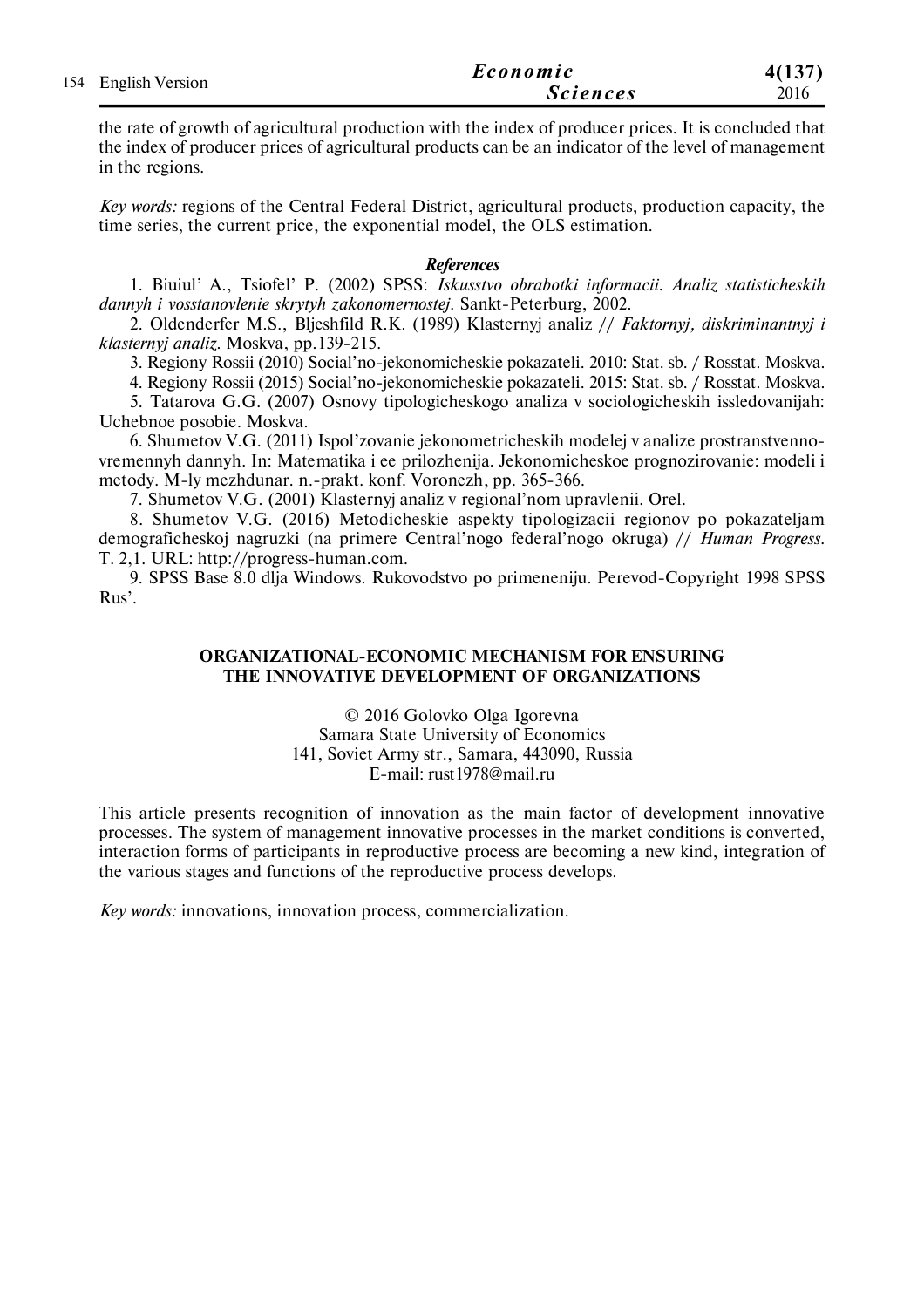| 154 English Version | Economic        | 4(137) |
|---------------------|-----------------|--------|
|                     | <b>Sciences</b> | 2016   |

the rate of growth of agricultural production with the index of producer prices. It is concluded that the index of producer prices of agricultural products can be an indicator of the level of management in the regions.

*Key words:* regions of the Central Federal District, agricultural products, production capacity, the time series, the current price, the exponential model, the OLS estimation.

#### *References*

1. Biuiul' A., Tsiofel' P. (2002) SPSS: *Iskusstvo obrabotki informacii. Analiz statisticheskih dannyh i vosstanovlenie skrytyh zakonomernostej*. Sankt-Peterburg, 2002.

2. Oldenderfer M.S., Bljeshfild R.K. (1989) Klasternyj analiz // *Faktornyj, diskriminantnyj i klasternyj analiz*. Moskva, pp.139-215.

3. Regiony Rossii (2010) Social'no-jekonomicheskie pokazateli. 2010: Stat. sb. / Rosstat. Moskva.

4. Regiony Rossii (2015) Social'no-jekonomicheskie pokazateli. 2015: Stat. sb. / Rosstat. Moskva.

5. Tatarova G.G. (2007) Osnovy tipologicheskogo analiza v sociologicheskih issledovanijah: Uchebnoe posobie. Moskva.

6. Shumetov V.G. (2011) Ispol'zovanie jekonometricheskih modelej v analize prostranstvennovremennyh dannyh. In: Matematika i ee prilozhenija. Jekonomicheskoe prognozirovanie: modeli i metody. M-ly mezhdunar. n.-prakt. konf. Voronezh, pp. 365-366.

7. Shumetov V.G. (2001) Klasternyj analiz v regional'nom upravlenii. Orel.

8. Shumetov V.G. (2016) Metodicheskie aspekty tipologizacii regionov po pokazateljam demograficheskoj nagruzki (na primere Central'nogo federal'nogo okruga) // *Human Progress*. T. 2,1. URL: http://progress-human.com.

9. SPSS Base 8.0 dlja Windows. Rukovodstvo po primeneniju. Perevod-Copyright 1998 SPSS Rus'.

#### **ORGANIZATIONAL-ECONOMIC MECHANISM FOR ENSURING THE INNOVATIVE DEVELOPMENT OF ORGANIZATIONS**

© 2016 Golovko Olga Igorevna Samara State University of Economics 141, Soviet Army str., Samara, 443090, Russia E-mail: rust1978@mail.ru

This article presents recognition of innovation as the main factor of development innovative processes. The system of management innovative processes in the market conditions is converted, interaction forms of participants in reproductive process are becoming a new kind, integration of the various stages and functions of the reproductive process develops.

*Key words:* innovations, innovation process, commercialization.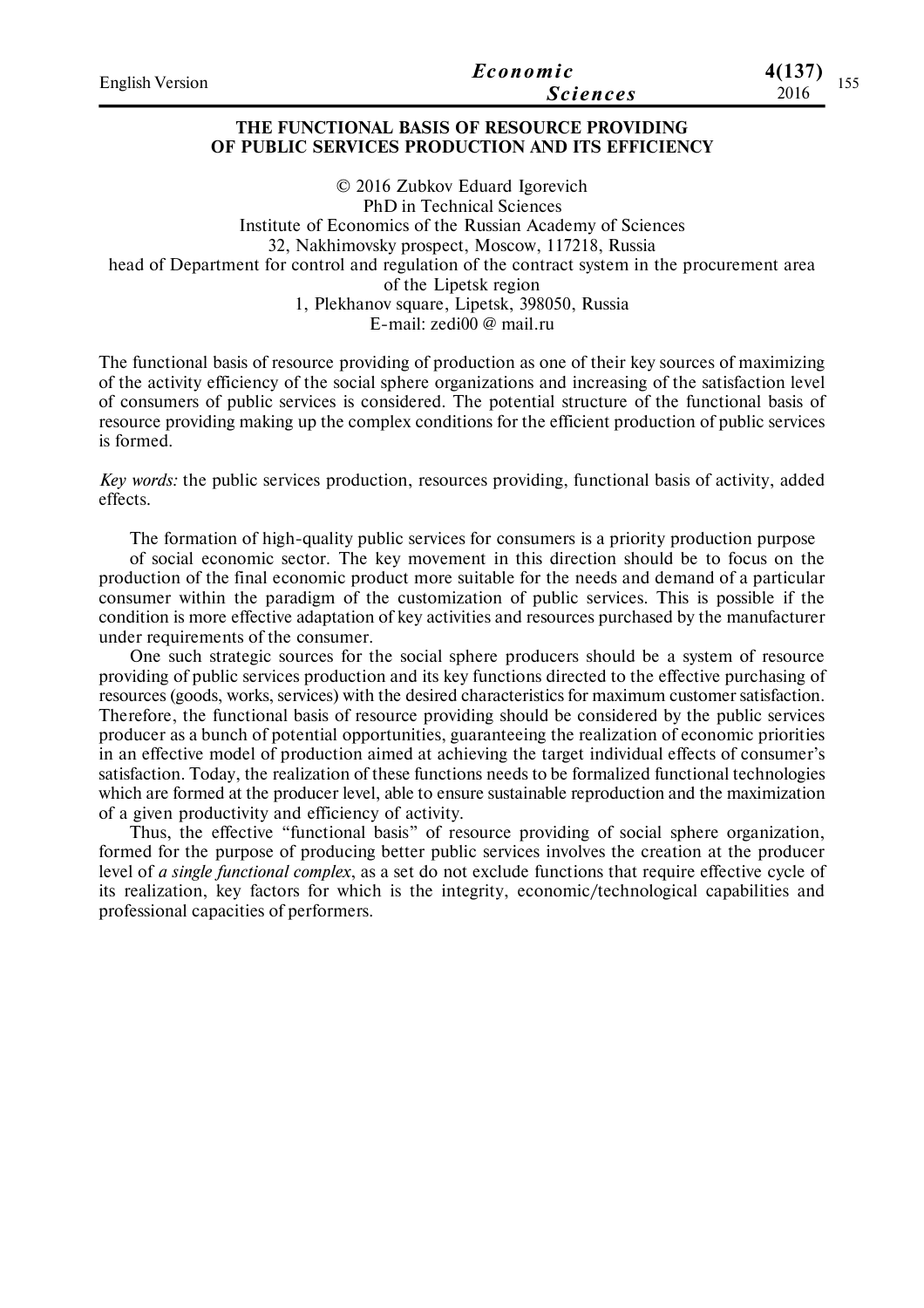| <b>English Version</b> | Economic        | 4(137)<br>.   |
|------------------------|-----------------|---------------|
|                        | <b>Sciences</b> | 1 J J<br>2016 |

#### **THE FUNCTIONAL BASIS OF RESOURCE PROVIDING OF PUBLIC SERVICES PRODUCTION AND ITS EFFICIENCY**

© 2016 Zubkov Eduard Igorevich PhD in Technical Sciences Institute of Economics of the Russian Academy of Sciences 32, Nakhimovsky prospect, Moscow, 117218, Russia head of Department for control and regulation of the contract system in the procurement area of the Lipetsk region 1, Plekhanov square, Lipetsk, 398050, Russia E-mail: zedi00 @ mail.ru

The functional basis of resource providing of production as one of their key sources of maximizing of the activity efficiency of the social sphere organizations and increasing of the satisfaction level of consumers of public services is considered. The potential structure of the functional basis of resource providing making up the complex conditions for the efficient production of public services is formed.

*Key words:* the public services production, resources providing, functional basis of activity, added effects.

The formation of high-quality public services for consumers is a priority production purpose

of social economic sector. The key movement in this direction should be to focus on the production of the final economic product more suitable for the needs and demand of a particular consumer within the paradigm of the customization of public services. This is possible if the condition is more effective adaptation of key activities and resources purchased by the manufacturer under requirements of the consumer.

One such strategic sources for the social sphere producers should be a system of resource providing of public services production and its key functions directed to the effective purchasing of resources (goods, works, services) with the desired characteristics for maximum customer satisfaction. Therefore, the functional basis of resource providing should be considered by the public services producer as a bunch of potential opportunities, guaranteeing the realization of economic priorities in an effective model of production aimed at achieving the target individual effects of consumer's satisfaction. Today, the realization of these functions needs to be formalized functional technologies which are formed at the producer level, able to ensure sustainable reproduction and the maximization of a given productivity and efficiency of activity.

Thus, the effective "functional basis" of resource providing of social sphere organization, formed for the purpose of producing better public services involves the creation at the producer level of *a single functional complex*, as a set do not exclude functions that require effective cycle of its realization, key factors for which is the integrity, economic/technological capabilities and professional capacities of performers.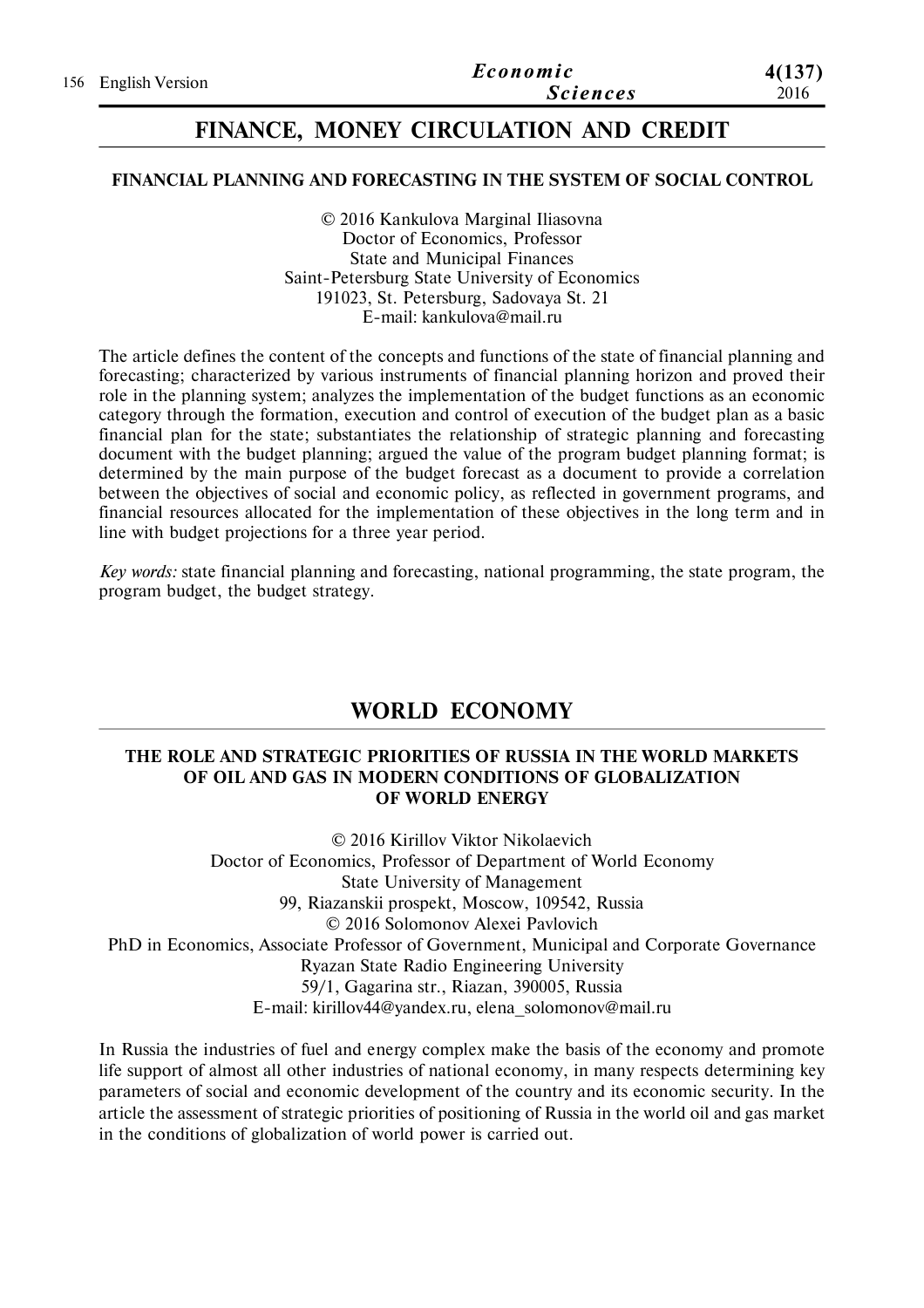|                     | Economic        | 4(137) |
|---------------------|-----------------|--------|
| 156 English Version | <b>Sciences</b> | 2016   |

## **FINANCE, MONEY CIRCULATION AND CREDIT**

## **FINANCIAL PLANNING AND FORECASTING IN THE SYSTEM OF SOCIAL CONTROL**

© 2016 Kankulova Marginal Iliasovna Doctor of Economics, Professor State and Municipal Finances Saint-Petersburg State University of Economics 191023, St. Petersburg, Sadovaya St. 21 E-mail: kankulova@mail.ru

The article defines the content of the concepts and functions of the state of financial planning and forecasting; characterized by various instruments of financial planning horizon and proved their role in the planning system; analyzes the implementation of the budget functions as an economic category through the formation, execution and control of execution of the budget plan as a basic financial plan for the state; substantiates the relationship of strategic planning and forecasting document with the budget planning; argued the value of the program budget planning format; is determined by the main purpose of the budget forecast as a document to provide a correlation between the objectives of social and economic policy, as reflected in government programs, and financial resources allocated for the implementation of these objectives in the long term and in line with budget projections for a three year period.

*Key words:* state financial planning and forecasting, national programming, the state program, the program budget, the budget strategy.

# **WORLD ECONOMY**

## **THE ROLE AND STRATEGIC PRIORITIES OF RUSSIA IN THE WORLD MARKETS OF OIL AND GAS IN MODERN CONDITIONS OF GLOBALIZATION OF WORLD ENERGY**

© 2016 Kirillov Viktor Nikolaevich Doctor of Economics, Professor of Department of World Economy State University of Management 99, Riazanskii prospekt, Moscow, 109542, Russia © 2016 Solomonov Alexei Pavlovich PhD in Economics, Associate Professor of Government, Municipal and Corporate Governance Ryazan State Radio Engineering University 59/1, Gagarina str., Riazan, 390005, Russia E-mail: kirillov44@yandex.ru, elena\_solomonov@mail.ru

In Russia the industries of fuel and energy complex make the basis of the economy and promote life support of almost all other industries of national economy, in many respects determining key parameters of social and economic development of the country and its economic security. In the article the assessment of strategic priorities of positioning of Russia in the world oil and gas market in the conditions of globalization of world power is carried out.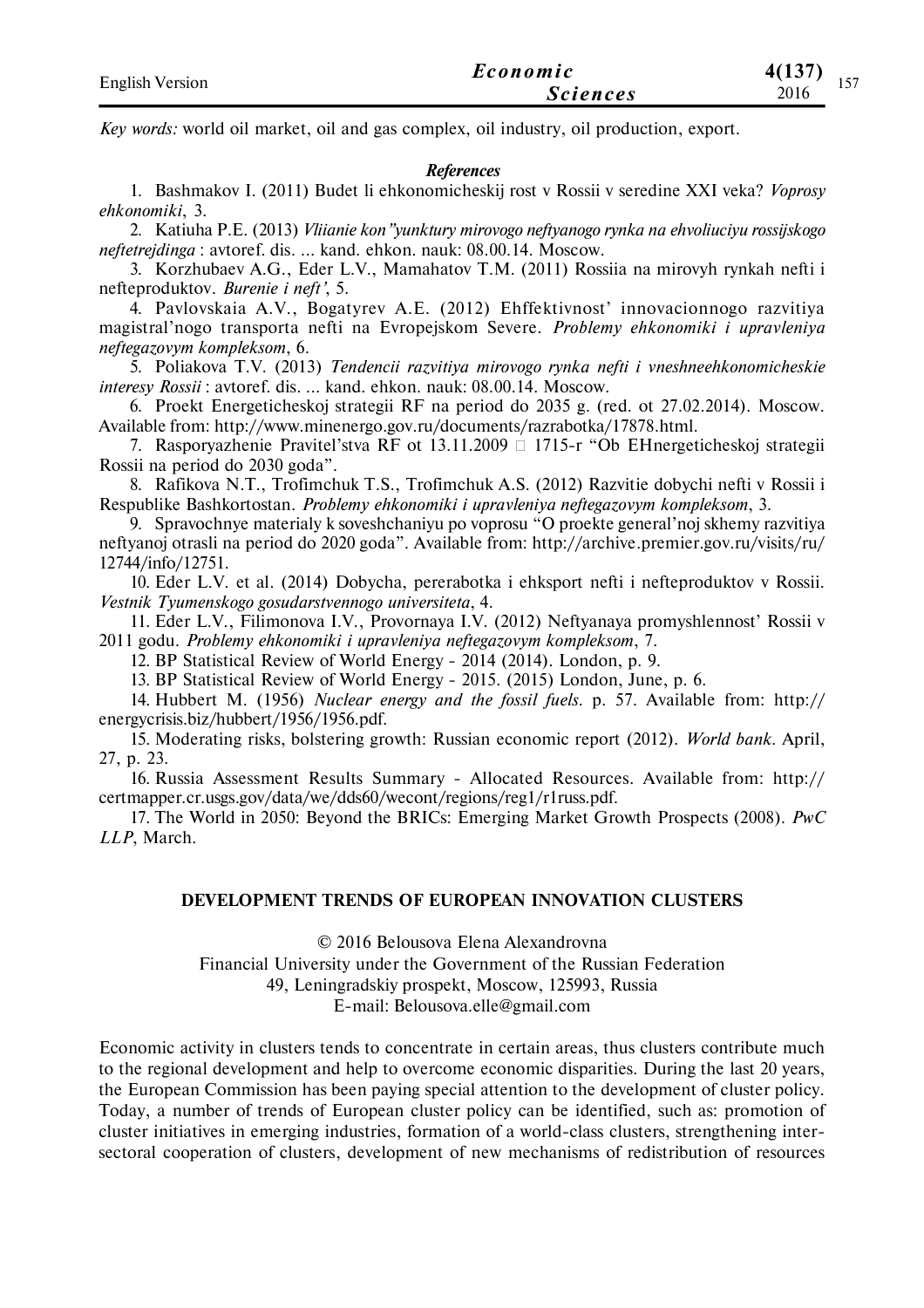| <b>English Version</b> | Economic        | 4(137)<br>. |
|------------------------|-----------------|-------------|
|                        | <i>Sciences</i> | 157<br>2016 |

*Key words:* world oil market, oil and gas complex, oil industry, oil production, export.

#### *References*

1. Bashmakov I. (2011) Budet li ehkonomicheskij rost v Rossii v seredine XXI veka? *Voprosy ehkonomiki*, 3.

2. Katiuha P.E. (2013) *Vliianie kon"yunktury mirovogo neftyanogo rynka na ehvoliuciyu rossijskogo neftetrejdinga* : avtoref. dis. ... kand. ehkon. nauk: 08.00.14. Moscow.

3. Korzhubaev A.G., Eder L.V., Mamahatov T.M. (2011) Rossiia na mirovyh rynkah nefti i nefteproduktov. *Burenie i neft'*, 5.

4. Pavlovskaia A.V., Bogatyrev A.E. (2012) Ehffektivnost' innovacionnogo razvitiya magistral'nogo transporta nefti na Evropejskom Severe. *Problemy ehkonomiki i upravleniya neftegazovym kompleksom*, 6.

5. Poliakova T.V. (2013) *Tendencii razvitiya mirovogo rynka nefti i vneshneehkonomicheskie interesy Rossii* : avtoref. dis. ... kand. ehkon. nauk: 08.00.14. Moscow.

6. Proekt Energeticheskoj strategii RF na period do 2035 g. (red. ot 27.02.2014). Moscow. Available from: http://www.minenergo.gov.ru/documents/razrabotka/17878.html.

7. Rasporyazhenie Pravitel'stva RF ot 13.11.2009  $\Box$  1715-r "Ob EHnergeticheskoj strategii Rossii na period do 2030 goda".

8. Rafikova N.T., Trofimchuk T.S., Trofimchuk A.S. (2012) Razvitie dobychi nefti v Rossii i Respublike Bashkortostan. *Problemy ehkonomiki i upravleniya neftegazovym kompleksom*, 3.

9. Spravochnye materialy k soveshchaniyu po voprosu "O proekte general'noj skhemy razvitiya neftyanoj otrasli na period do 2020 goda". Available from: http://archive.premier.gov.ru/visits/ru/ 12744/info/12751.

10. Eder L.V. et al. (2014) Dobycha, pererabotka i ehksport nefti i nefteproduktov v Rossii. *Vestnik Tyumenskogo gosudarstvennogo universiteta*, 4.

11. Eder L.V., Filimonova I.V., Provornaya I.V. (2012) Neftyanaya promyshlennost' Rossii v 2011 godu. *Problemy ehkonomiki i upravleniya neftegazovym kompleksom*, 7.

12. BP Statistical Review of World Energy - 2014 (2014). London, p. 9.

13. BP Statistical Review of World Energy - 2015. (2015) London, June, p. 6.

14. Hubbert M. (1956) *Nuclear energy and the fossil fuels*. p. 57. Available from: http:// energycrisis.biz/hubbert/1956/1956.pdf.

15. Moderating risks, bolstering growth: Russian economic report (2012). *World bank*. April, 27, p. 23.

16. Russia Assessment Results Summary - Allocated Resources. Available from: http:// certmapper.cr.usgs.gov/data/we/dds60/wecont/regions/reg1/r1russ.pdf.

17. The World in 2050: Beyond the BRICs: Emerging Market Growth Prospects (2008). *PwC LLP*, March.

## **DEVELOPMENT TRENDS OF EUROPEAN INNOVATION CLUSTERS**

© 2016 Belousova Elena Alexandrovna Financial University under the Government of the Russian Federation 49, Leningradskiy prospekt, Moscow, 125993, Russia

E-mail: Belousova.elle@gmail.com

Economic activity in clusters tends to concentrate in certain areas, thus clusters contribute much to the regional development and help to overcome economic disparities. During the last 20 years, the European Commission has been paying special attention to the development of cluster policy. Today, a number of trends of European cluster policy can be identified, such as: promotion of cluster initiatives in emerging industries, formation of a world-class clusters, strengthening intersectoral cooperation of clusters, development of new mechanisms of redistribution of resources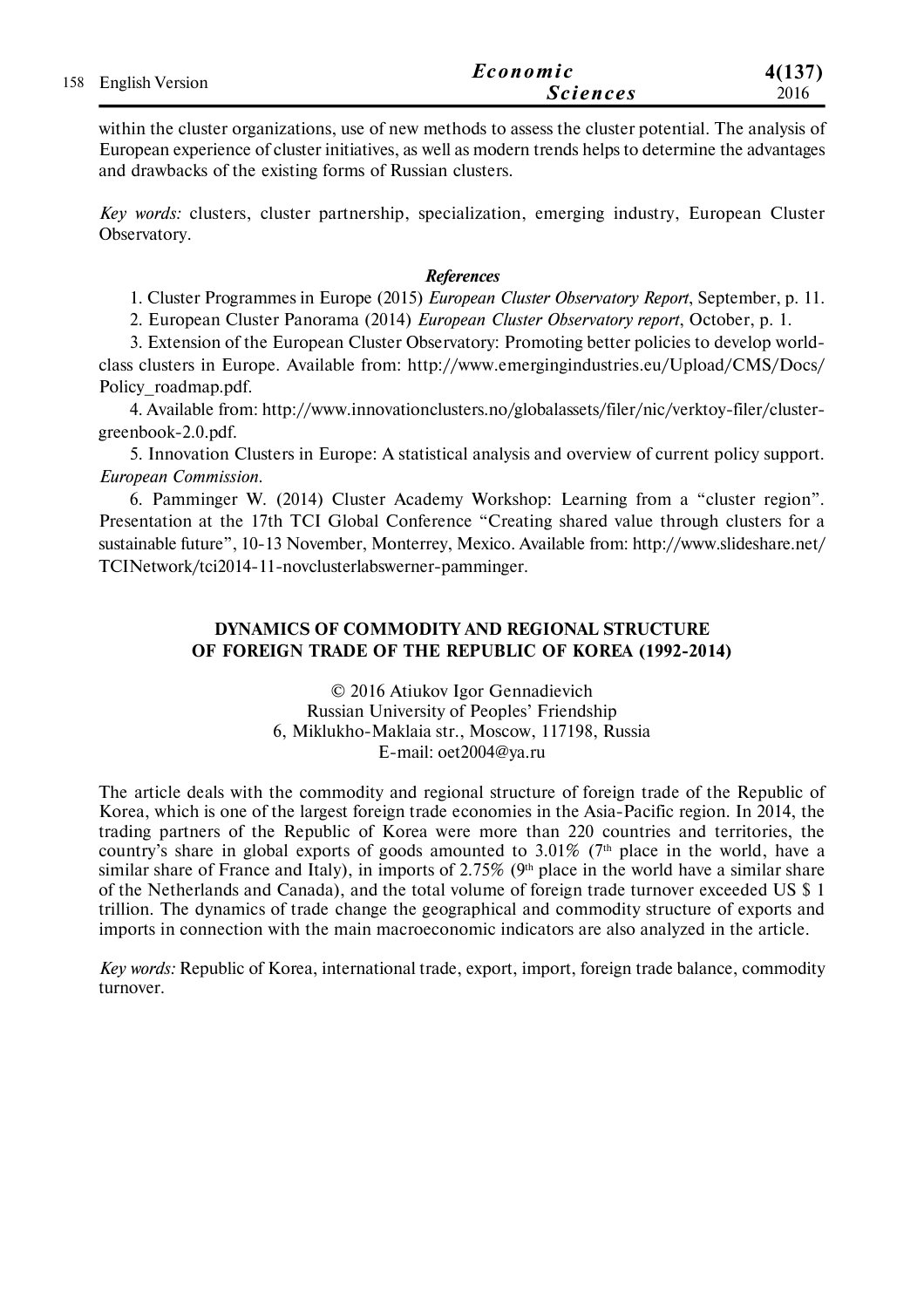|  | 158 English Version | Economic        | 4(137) |
|--|---------------------|-----------------|--------|
|  |                     | <b>Sciences</b> | 2016   |

within the cluster organizations, use of new methods to assess the cluster potential. The analysis of European experience of cluster initiatives, as well as modern trends helps to determine the advantages and drawbacks of the existing forms of Russian clusters.

*Key words:* clusters, cluster partnership, specialization, emerging industry, European Cluster Observatory.

#### *References*

1. Cluster Programmes in Europe (2015) *European Cluster Observatory Report*, September, p. 11.

2. European Cluster Panorama (2014) *European Cluster Observatory report*, October, p. 1.

3. Extension of the European Cluster Observatory: Promoting better policies to develop worldclass clusters in Europe. Available from: http://www.emergingindustries.eu/Upload/CMS/Docs/ Policy\_roadmap.pdf.

4. Available from: http://www.innovationclusters.no/globalassets/filer/nic/verktoy-filer/clustergreenbook-2.0.pdf.

5. Innovation Clusters in Europe: A statistical analysis and overview of current policy support. *European Commission.*

6. Pamminger W. (2014) Cluster Academy Workshop: Learning from a "cluster region". Presentation at the 17th TCI Global Conference "Creating shared value through clusters for a sustainable future", 10-13 November, Monterrey, Mexico. Available from: http://www.slideshare.net/ TCINetwork/tci2014-11-novclusterlabswerner-pamminger.

## **DYNAMICS OF COMMODITY AND REGIONAL STRUCTURE OF FOREIGN TRADE OF THE REPUBLIC OF KOREA (1992-2014)**

© 2016 Atiukov Igor Gennadievich Russian University of Peoples' Friendship 6, Miklukho-Maklaia str., Moscow, 117198, Russia E-mail: oet2004@ya.ru

The article deals with the commodity and regional structure of foreign trade of the Republic of Korea, which is one of the largest foreign trade economies in the Asia-Pacific region. In 2014, the trading partners of the Republic of Korea were more than 220 countries and territories, the country's share in global exports of goods amounted to  $3.01\%$  (7<sup>th</sup> place in the world, have a similar share of France and Italy), in imports of 2.75% ( $9<sup>th</sup>$  place in the world have a similar share of the Netherlands and Canada), and the total volume of foreign trade turnover exceeded US \$ 1 trillion. The dynamics of trade change the geographical and commodity structure of exports and imports in connection with the main macroeconomic indicators are also analyzed in the article.

*Key words:* Republic of Korea, international trade, export, import, foreign trade balance, commodity turnover.